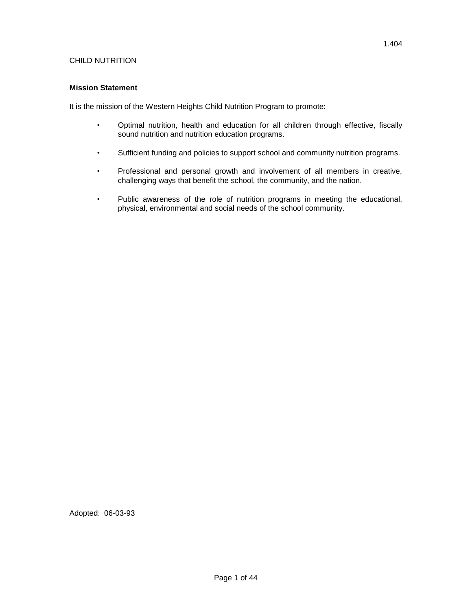# CHILD NUTRITION

#### **Mission Statement**

It is the mission of the Western Heights Child Nutrition Program to promote:

- Optimal nutrition, health and education for all children through effective, fiscally sound nutrition and nutrition education programs.
- Sufficient funding and policies to support school and community nutrition programs.
- Professional and personal growth and involvement of all members in creative, challenging ways that benefit the school, the community, and the nation.
- Public awareness of the role of nutrition programs in meeting the educational, physical, environmental and social needs of the school community.

Adopted: 06-03-93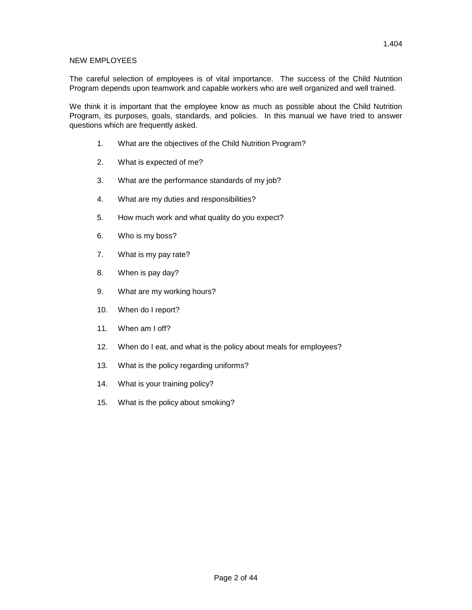#### NEW EMPLOYEES

The careful selection of employees is of vital importance. The success of the Child Nutrition Program depends upon teamwork and capable workers who are well organized and well trained.

We think it is important that the employee know as much as possible about the Child Nutrition Program, its purposes, goals, standards, and policies. In this manual we have tried to answer questions which are frequently asked.

- 1. What are the objectives of the Child Nutrition Program?
- 2. What is expected of me?
- 3. What are the performance standards of my job?
- 4. What are my duties and responsibilities?
- 5. How much work and what quality do you expect?
- 6. Who is my boss?
- 7. What is my pay rate?
- 8. When is pay day?
- 9. What are my working hours?
- 10. When do I report?
- 11. When am I off?
- 12. When do I eat, and what is the policy about meals for employees?
- 13. What is the policy regarding uniforms?
- 14. What is your training policy?
- 15. What is the policy about smoking?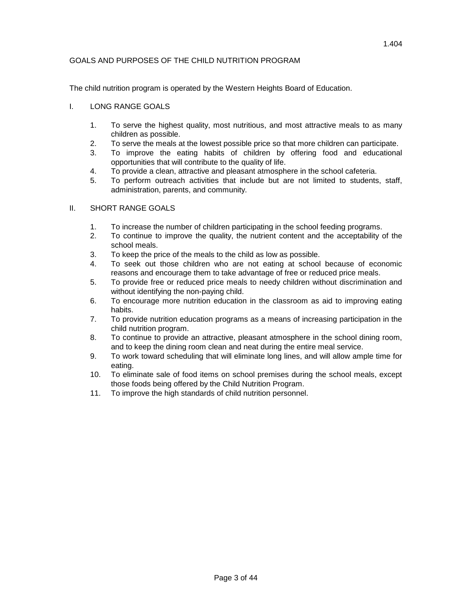# GOALS AND PURPOSES OF THE CHILD NUTRITION PROGRAM

The child nutrition program is operated by the Western Heights Board of Education.

# I. LONG RANGE GOALS

- 1. To serve the highest quality, most nutritious, and most attractive meals to as many children as possible.
- 2. To serve the meals at the lowest possible price so that more children can participate.
- 3. To improve the eating habits of children by offering food and educational opportunities that will contribute to the quality of life.
- 4. To provide a clean, attractive and pleasant atmosphere in the school cafeteria.
- 5. To perform outreach activities that include but are not limited to students, staff, administration, parents, and community.

# II. SHORT RANGE GOALS

- 1. To increase the number of children participating in the school feeding programs.
- 2. To continue to improve the quality, the nutrient content and the acceptability of the school meals.
- 3. To keep the price of the meals to the child as low as possible.
- 4. To seek out those children who are not eating at school because of economic reasons and encourage them to take advantage of free or reduced price meals.
- 5. To provide free or reduced price meals to needy children without discrimination and without identifying the non-paying child.
- 6. To encourage more nutrition education in the classroom as aid to improving eating habits.
- 7. To provide nutrition education programs as a means of increasing participation in the child nutrition program.
- 8. To continue to provide an attractive, pleasant atmosphere in the school dining room, and to keep the dining room clean and neat during the entire meal service.
- 9. To work toward scheduling that will eliminate long lines, and will allow ample time for eating.
- 10. To eliminate sale of food items on school premises during the school meals, except those foods being offered by the Child Nutrition Program.
- 11. To improve the high standards of child nutrition personnel.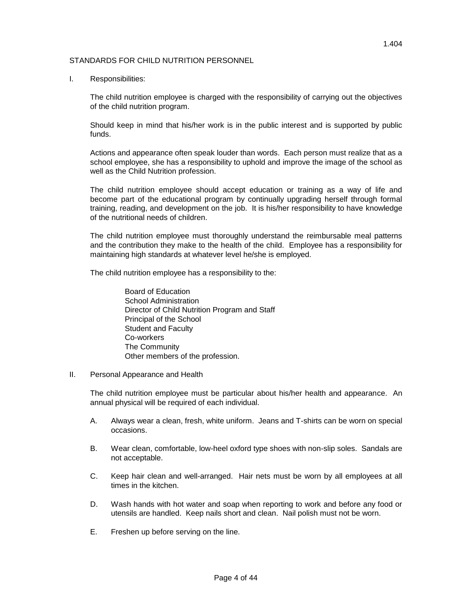#### STANDARDS FOR CHILD NUTRITION PERSONNEL

I. Responsibilities:

The child nutrition employee is charged with the responsibility of carrying out the objectives of the child nutrition program.

Should keep in mind that his/her work is in the public interest and is supported by public funds.

Actions and appearance often speak louder than words. Each person must realize that as a school employee, she has a responsibility to uphold and improve the image of the school as well as the Child Nutrition profession.

The child nutrition employee should accept education or training as a way of life and become part of the educational program by continually upgrading herself through formal training, reading, and development on the job. It is his/her responsibility to have knowledge of the nutritional needs of children.

The child nutrition employee must thoroughly understand the reimbursable meal patterns and the contribution they make to the health of the child. Employee has a responsibility for maintaining high standards at whatever level he/she is employed.

The child nutrition employee has a responsibility to the:

Board of Education School Administration Director of Child Nutrition Program and Staff Principal of the School Student and Faculty Co-workers The Community Other members of the profession.

#### II. Personal Appearance and Health

The child nutrition employee must be particular about his/her health and appearance. An annual physical will be required of each individual.

- A. Always wear a clean, fresh, white uniform. Jeans and T-shirts can be worn on special occasions.
- B. Wear clean, comfortable, low-heel oxford type shoes with non-slip soles. Sandals are not acceptable.
- C. Keep hair clean and well-arranged. Hair nets must be worn by all employees at all times in the kitchen.
- D. Wash hands with hot water and soap when reporting to work and before any food or utensils are handled. Keep nails short and clean. Nail polish must not be worn.
- E. Freshen up before serving on the line.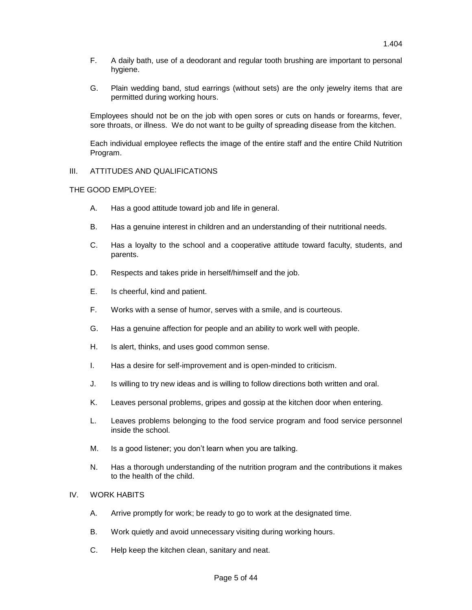G. Plain wedding band, stud earrings (without sets) are the only jewelry items that are permitted during working hours.

Employees should not be on the job with open sores or cuts on hands or forearms, fever, sore throats, or illness. We do not want to be guilty of spreading disease from the kitchen.

Each individual employee reflects the image of the entire staff and the entire Child Nutrition Program.

# III. ATTITUDES AND QUALIFICATIONS

#### THE GOOD EMPLOYEE:

- A. Has a good attitude toward job and life in general.
- B. Has a genuine interest in children and an understanding of their nutritional needs.
- C. Has a loyalty to the school and a cooperative attitude toward faculty, students, and parents.
- D. Respects and takes pride in herself/himself and the job.
- E. Is cheerful, kind and patient.
- F. Works with a sense of humor, serves with a smile, and is courteous.
- G. Has a genuine affection for people and an ability to work well with people.
- H. Is alert, thinks, and uses good common sense.
- I. Has a desire for self-improvement and is open-minded to criticism.
- J. Is willing to try new ideas and is willing to follow directions both written and oral.
- K. Leaves personal problems, gripes and gossip at the kitchen door when entering.
- L. Leaves problems belonging to the food service program and food service personnel inside the school.
- M. Is a good listener; you don't learn when you are talking.
- N. Has a thorough understanding of the nutrition program and the contributions it makes to the health of the child.

#### IV. WORK HABITS

- A. Arrive promptly for work; be ready to go to work at the designated time.
- B. Work quietly and avoid unnecessary visiting during working hours.
- C. Help keep the kitchen clean, sanitary and neat.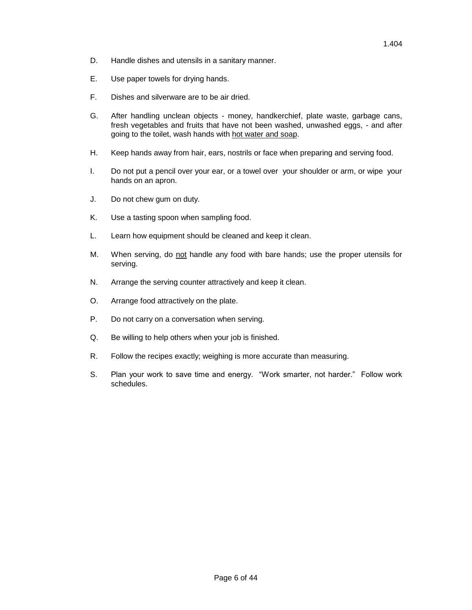- D. Handle dishes and utensils in a sanitary manner.
- E. Use paper towels for drying hands.
- F. Dishes and silverware are to be air dried.
- G. After handling unclean objects money, handkerchief, plate waste, garbage cans, fresh vegetables and fruits that have not been washed, unwashed eggs, - and after going to the toilet, wash hands with hot water and soap.
- H. Keep hands away from hair, ears, nostrils or face when preparing and serving food.
- I. Do not put a pencil over your ear, or a towel over your shoulder or arm, or wipe your hands on an apron.
- J. Do not chew gum on duty.
- K. Use a tasting spoon when sampling food.
- L. Learn how equipment should be cleaned and keep it clean.
- M. When serving, do not handle any food with bare hands; use the proper utensils for serving.
- N. Arrange the serving counter attractively and keep it clean.
- O. Arrange food attractively on the plate.
- P. Do not carry on a conversation when serving.
- Q. Be willing to help others when your job is finished.
- R. Follow the recipes exactly; weighing is more accurate than measuring.
- S. Plan your work to save time and energy. "Work smarter, not harder." Follow work schedules.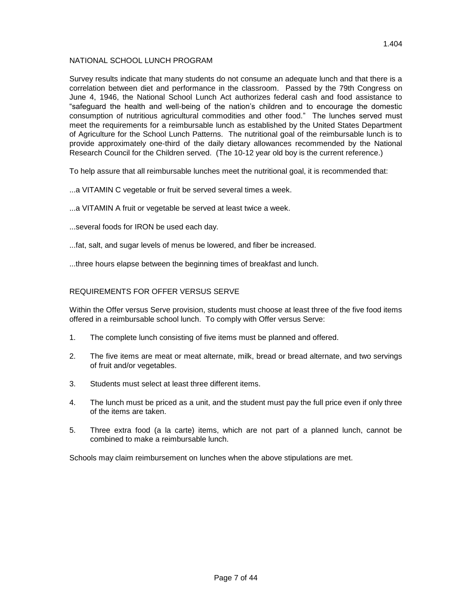# NATIONAL SCHOOL LUNCH PROGRAM

Survey results indicate that many students do not consume an adequate lunch and that there is a correlation between diet and performance in the classroom. Passed by the 79th Congress on June 4, 1946, the National School Lunch Act authorizes federal cash and food assistance to "safeguard the health and well-being of the nation's children and to encourage the domestic consumption of nutritious agricultural commodities and other food." The lunches served must meet the requirements for a reimbursable lunch as established by the United States Department of Agriculture for the School Lunch Patterns. The nutritional goal of the reimbursable lunch is to provide approximately one-third of the daily dietary allowances recommended by the National Research Council for the Children served. (The 10-12 year old boy is the current reference.)

To help assure that all reimbursable lunches meet the nutritional goal, it is recommended that:

- ...a VITAMIN C vegetable or fruit be served several times a week.
- ...a VITAMIN A fruit or vegetable be served at least twice a week.
- ...several foods for IRON be used each day.
- ...fat, salt, and sugar levels of menus be lowered, and fiber be increased.
- ...three hours elapse between the beginning times of breakfast and lunch.

# REQUIREMENTS FOR OFFER VERSUS SERVE

Within the Offer versus Serve provision, students must choose at least three of the five food items offered in a reimbursable school lunch. To comply with Offer versus Serve:

- 1. The complete lunch consisting of five items must be planned and offered.
- 2. The five items are meat or meat alternate, milk, bread or bread alternate, and two servings of fruit and/or vegetables.
- 3. Students must select at least three different items.
- 4. The lunch must be priced as a unit, and the student must pay the full price even if only three of the items are taken.
- 5. Three extra food (a la carte) items, which are not part of a planned lunch, cannot be combined to make a reimbursable lunch.

Schools may claim reimbursement on lunches when the above stipulations are met.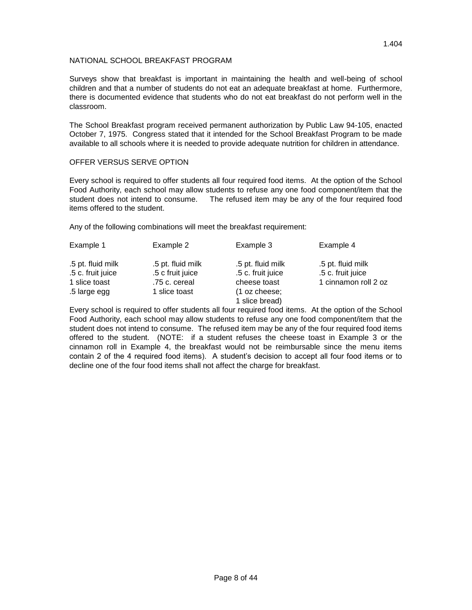# NATIONAL SCHOOL BREAKFAST PROGRAM

Surveys show that breakfast is important in maintaining the health and well-being of school children and that a number of students do not eat an adequate breakfast at home. Furthermore, there is documented evidence that students who do not eat breakfast do not perform well in the classroom.

The School Breakfast program received permanent authorization by Public Law 94-105, enacted October 7, 1975. Congress stated that it intended for the School Breakfast Program to be made available to all schools where it is needed to provide adequate nutrition for children in attendance.

# OFFER VERSUS SERVE OPTION

Every school is required to offer students all four required food items. At the option of the School Food Authority, each school may allow students to refuse any one food component/item that the student does not intend to consume. The refused item may be any of the four required food items offered to the student.

Any of the following combinations will meet the breakfast requirement:

| Example 1         | Example 2         | Example 3         | Example 4            |
|-------------------|-------------------|-------------------|----------------------|
| .5 pt. fluid milk | .5 pt. fluid milk | .5 pt. fluid milk | .5 pt. fluid milk    |
| .5 c. fruit juice | .5 c fruit juice  | .5 c. fruit juice | .5 c. fruit juice    |
| 1 slice toast     | .75 c. cereal     | cheese toast      | 1 cinnamon roll 2 oz |
| .5 large egg      | 1 slice toast     | (1 oz cheese;     |                      |
|                   |                   | 1 slice bread)    |                      |

Every school is required to offer students all four required food items. At the option of the School Food Authority, each school may allow students to refuse any one food component/item that the student does not intend to consume. The refused item may be any of the four required food items offered to the student. (NOTE: if a student refuses the cheese toast in Example 3 or the cinnamon roll in Example 4, the breakfast would not be reimbursable since the menu items contain 2 of the 4 required food items). A student's decision to accept all four food items or to decline one of the four food items shall not affect the charge for breakfast.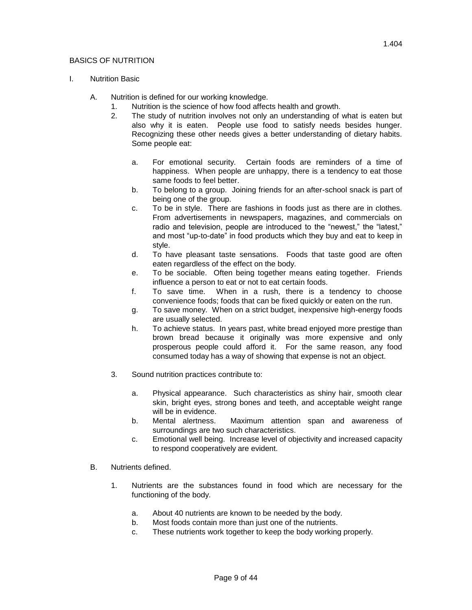# BASICS OF NUTRITION

# I. Nutrition Basic

- A. Nutrition is defined for our working knowledge.
	- 1. Nutrition is the science of how food affects health and growth.
	- 2. The study of nutrition involves not only an understanding of what is eaten but also why it is eaten. People use food to satisfy needs besides hunger. Recognizing these other needs gives a better understanding of dietary habits. Some people eat:
		- a. For emotional security. Certain foods are reminders of a time of happiness. When people are unhappy, there is a tendency to eat those same foods to feel better.
		- b. To belong to a group. Joining friends for an after-school snack is part of being one of the group.
		- c. To be in style. There are fashions in foods just as there are in clothes. From advertisements in newspapers, magazines, and commercials on radio and television, people are introduced to the "newest," the "latest," and most "up-to-date" in food products which they buy and eat to keep in style.
		- d. To have pleasant taste sensations. Foods that taste good are often eaten regardless of the effect on the body.
		- e. To be sociable. Often being together means eating together. Friends influence a person to eat or not to eat certain foods.
		- f. To save time. When in a rush, there is a tendency to choose convenience foods; foods that can be fixed quickly or eaten on the run.
		- g. To save money. When on a strict budget, inexpensive high-energy foods are usually selected.
		- h. To achieve status. In years past, white bread enjoyed more prestige than brown bread because it originally was more expensive and only prosperous people could afford it. For the same reason, any food consumed today has a way of showing that expense is not an object.
	- 3. Sound nutrition practices contribute to:
		- a. Physical appearance. Such characteristics as shiny hair, smooth clear skin, bright eyes, strong bones and teeth, and acceptable weight range will be in evidence.
		- b. Mental alertness. Maximum attention span and awareness of surroundings are two such characteristics.
		- c. Emotional well being. Increase level of objectivity and increased capacity to respond cooperatively are evident.
- B. Nutrients defined.
	- 1. Nutrients are the substances found in food which are necessary for the functioning of the body.
		- a. About 40 nutrients are known to be needed by the body.
		- b. Most foods contain more than just one of the nutrients.
		- c. These nutrients work together to keep the body working properly.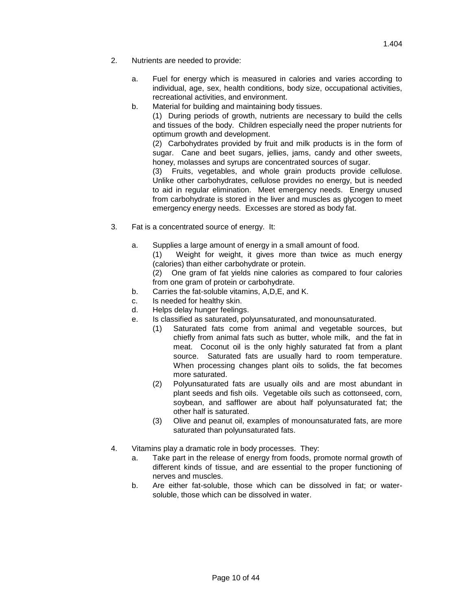- 2. Nutrients are needed to provide:
	- a. Fuel for energy which is measured in calories and varies according to individual, age, sex, health conditions, body size, occupational activities, recreational activities, and environment.
	- b. Material for building and maintaining body tissues.

(1) During periods of growth, nutrients are necessary to build the cells and tissues of the body. Children especially need the proper nutrients for optimum growth and development.

(2) Carbohydrates provided by fruit and milk products is in the form of sugar. Cane and beet sugars, jellies, jams, candy and other sweets, honey, molasses and syrups are concentrated sources of sugar.

(3) Fruits, vegetables, and whole grain products provide cellulose. Unlike other carbohydrates, cellulose provides no energy, but is needed to aid in regular elimination. Meet emergency needs. Energy unused from carbohydrate is stored in the liver and muscles as glycogen to meet emergency energy needs. Excesses are stored as body fat.

- 3. Fat is a concentrated source of energy. It:
	- a. Supplies a large amount of energy in a small amount of food.
		- (1) Weight for weight, it gives more than twice as much energy (calories) than either carbohydrate or protein.

(2) One gram of fat yields nine calories as compared to four calories from one gram of protein or carbohydrate.

- b. Carries the fat-soluble vitamins, A,D,E, and K.
- c. Is needed for healthy skin.
- d. Helps delay hunger feelings.
- e. Is classified as saturated, polyunsaturated, and monounsaturated.
	- (1) Saturated fats come from animal and vegetable sources, but chiefly from animal fats such as butter, whole milk, and the fat in meat. Coconut oil is the only highly saturated fat from a plant source. Saturated fats are usually hard to room temperature. When processing changes plant oils to solids, the fat becomes more saturated.
	- (2) Polyunsaturated fats are usually oils and are most abundant in plant seeds and fish oils. Vegetable oils such as cottonseed, corn, soybean, and safflower are about half polyunsaturated fat; the other half is saturated.
	- (3) Olive and peanut oil, examples of monounsaturated fats, are more saturated than polyunsaturated fats.
- 4. Vitamins play a dramatic role in body processes. They:
	- a. Take part in the release of energy from foods, promote normal growth of different kinds of tissue, and are essential to the proper functioning of nerves and muscles.
	- b. Are either fat-soluble, those which can be dissolved in fat; or watersoluble, those which can be dissolved in water.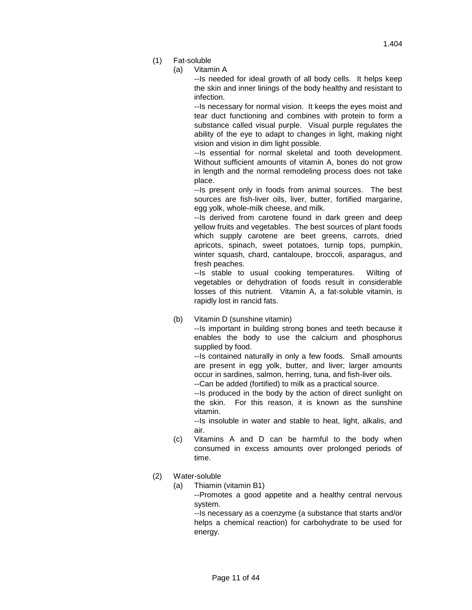- (1) Fat-soluble
	- (a) Vitamin A

--Is needed for ideal growth of all body cells. It helps keep the skin and inner linings of the body healthy and resistant to infection.

--Is necessary for normal vision. It keeps the eyes moist and tear duct functioning and combines with protein to form a substance called visual purple. Visual purple regulates the ability of the eye to adapt to changes in light, making night vision and vision in dim light possible.

--Is essential for normal skeletal and tooth development. Without sufficient amounts of vitamin A, bones do not grow in length and the normal remodeling process does not take place.

--Is present only in foods from animal sources. The best sources are fish-liver oils, liver, butter, fortified margarine, egg yolk, whole-milk cheese, and milk.

--Is derived from carotene found in dark green and deep yellow fruits and vegetables. The best sources of plant foods which supply carotene are beet greens, carrots, dried apricots, spinach, sweet potatoes, turnip tops, pumpkin, winter squash, chard, cantaloupe, broccoli, asparagus, and fresh peaches.

--Is stable to usual cooking temperatures. Wilting of vegetables or dehydration of foods result in considerable losses of this nutrient. Vitamin A, a fat-soluble vitamin, is rapidly lost in rancid fats.

(b) Vitamin D (sunshine vitamin)

--Is important in building strong bones and teeth because it enables the body to use the calcium and phosphorus supplied by food.

--Is contained naturally in only a few foods. Small amounts are present in egg yolk, butter, and liver; larger amounts occur in sardines, salmon, herring, tuna, and fish-liver oils.

--Can be added (fortified) to milk as a practical source.

--Is produced in the body by the action of direct sunlight on the skin. For this reason, it is known as the sunshine vitamin.

--Is insoluble in water and stable to heat, light, alkalis, and air.

- (c) Vitamins A and D can be harmful to the body when consumed in excess amounts over prolonged periods of time.
- (2) Water-soluble
	- (a) Thiamin (vitamin B1)

--Promotes a good appetite and a healthy central nervous system.

--Is necessary as a coenzyme (a substance that starts and/or helps a chemical reaction) for carbohydrate to be used for energy.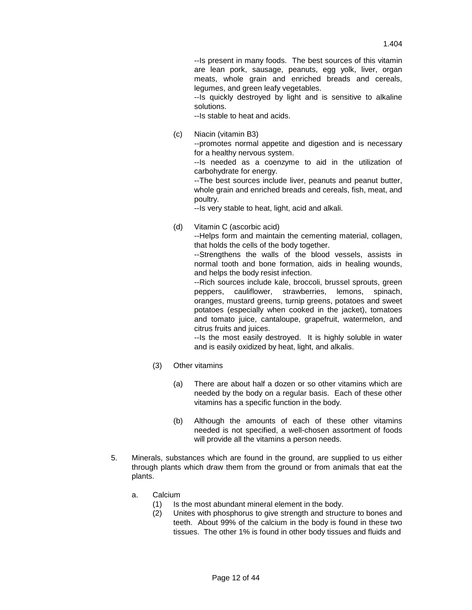--Is present in many foods. The best sources of this vitamin are lean pork, sausage, peanuts, egg yolk, liver, organ meats, whole grain and enriched breads and cereals, legumes, and green leafy vegetables.

--Is quickly destroyed by light and is sensitive to alkaline solutions.

--Is stable to heat and acids.

(c) Niacin (vitamin B3)

--promotes normal appetite and digestion and is necessary for a healthy nervous system.

--Is needed as a coenzyme to aid in the utilization of carbohydrate for energy.

--The best sources include liver, peanuts and peanut butter, whole grain and enriched breads and cereals, fish, meat, and poultry.

--Is very stable to heat, light, acid and alkali.

(d) Vitamin C (ascorbic acid)

--Helps form and maintain the cementing material, collagen, that holds the cells of the body together.

--Strengthens the walls of the blood vessels, assists in normal tooth and bone formation, aids in healing wounds, and helps the body resist infection.

--Rich sources include kale, broccoli, brussel sprouts, green peppers, cauliflower, strawberries, lemons, spinach, oranges, mustard greens, turnip greens, potatoes and sweet potatoes (especially when cooked in the jacket), tomatoes and tomato juice, cantaloupe, grapefruit, watermelon, and citrus fruits and juices.

--Is the most easily destroyed. It is highly soluble in water and is easily oxidized by heat, light, and alkalis.

- (3) Other vitamins
	- (a) There are about half a dozen or so other vitamins which are needed by the body on a regular basis. Each of these other vitamins has a specific function in the body.
	- (b) Although the amounts of each of these other vitamins needed is not specified, a well-chosen assortment of foods will provide all the vitamins a person needs.
- 5. Minerals, substances which are found in the ground, are supplied to us either through plants which draw them from the ground or from animals that eat the plants.
	- a. Calcium
		- (1) Is the most abundant mineral element in the body.
		- (2) Unites with phosphorus to give strength and structure to bones and teeth. About 99% of the calcium in the body is found in these two tissues. The other 1% is found in other body tissues and fluids and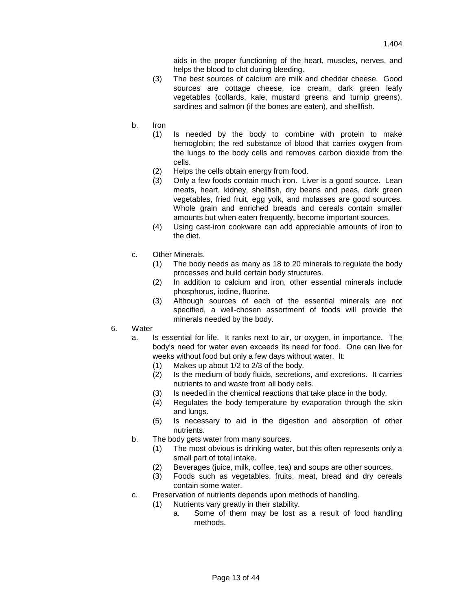aids in the proper functioning of the heart, muscles, nerves, and helps the blood to clot during bleeding.

- (3) The best sources of calcium are milk and cheddar cheese. Good sources are cottage cheese, ice cream, dark green leafy vegetables (collards, kale, mustard greens and turnip greens), sardines and salmon (if the bones are eaten), and shellfish.
- b. Iron
	- (1) Is needed by the body to combine with protein to make hemoglobin; the red substance of blood that carries oxygen from the lungs to the body cells and removes carbon dioxide from the cells.
	- (2) Helps the cells obtain energy from food.
	- (3) Only a few foods contain much iron. Liver is a good source. Lean meats, heart, kidney, shellfish, dry beans and peas, dark green vegetables, fried fruit, egg yolk, and molasses are good sources. Whole grain and enriched breads and cereals contain smaller amounts but when eaten frequently, become important sources.
	- (4) Using cast-iron cookware can add appreciable amounts of iron to the diet.
- c. Other Minerals.
	- (1) The body needs as many as 18 to 20 minerals to regulate the body processes and build certain body structures.
	- (2) In addition to calcium and iron, other essential minerals include phosphorus, iodine, fluorine.
	- (3) Although sources of each of the essential minerals are not specified, a well-chosen assortment of foods will provide the minerals needed by the body.
- 6. Water
	- a. Is essential for life. It ranks next to air, or oxygen, in importance. The body's need for water even exceeds its need for food. One can live for weeks without food but only a few days without water. It:
		- (1) Makes up about 1/2 to 2/3 of the body.
		- (2) Is the medium of body fluids, secretions, and excretions. It carries nutrients to and waste from all body cells.
		- (3) Is needed in the chemical reactions that take place in the body.
		- (4) Regulates the body temperature by evaporation through the skin and lungs.
		- (5) Is necessary to aid in the digestion and absorption of other nutrients.
	- b. The body gets water from many sources.
		- (1) The most obvious is drinking water, but this often represents only a small part of total intake.
		- (2) Beverages (juice, milk, coffee, tea) and soups are other sources.
		- (3) Foods such as vegetables, fruits, meat, bread and dry cereals contain some water.
	- c. Preservation of nutrients depends upon methods of handling.
		- (1) Nutrients vary greatly in their stability.
			- a. Some of them may be lost as a result of food handling methods.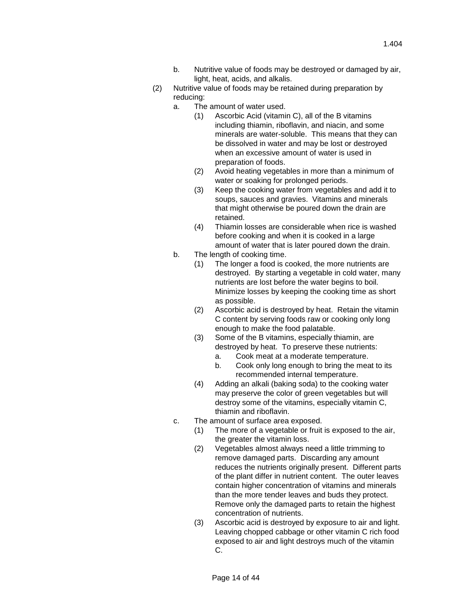- b. Nutritive value of foods may be destroyed or damaged by air, light, heat, acids, and alkalis.
- (2) Nutritive value of foods may be retained during preparation by reducing:
	- a. The amount of water used.
		- (1) Ascorbic Acid (vitamin C), all of the B vitamins including thiamin, riboflavin, and niacin, and some minerals are water-soluble. This means that they can be dissolved in water and may be lost or destroyed when an excessive amount of water is used in preparation of foods.
		- (2) Avoid heating vegetables in more than a minimum of water or soaking for prolonged periods.
		- (3) Keep the cooking water from vegetables and add it to soups, sauces and gravies. Vitamins and minerals that might otherwise be poured down the drain are retained.
		- (4) Thiamin losses are considerable when rice is washed before cooking and when it is cooked in a large amount of water that is later poured down the drain.
	- b. The length of cooking time.
		- (1) The longer a food is cooked, the more nutrients are destroyed. By starting a vegetable in cold water, many nutrients are lost before the water begins to boil. Minimize losses by keeping the cooking time as short as possible.
		- (2) Ascorbic acid is destroyed by heat. Retain the vitamin C content by serving foods raw or cooking only long enough to make the food palatable.
		- (3) Some of the B vitamins, especially thiamin, are destroyed by heat. To preserve these nutrients:
			- a. Cook meat at a moderate temperature.
			- b. Cook only long enough to bring the meat to its recommended internal temperature.
		- (4) Adding an alkali (baking soda) to the cooking water may preserve the color of green vegetables but will destroy some of the vitamins, especially vitamin C, thiamin and riboflavin.
	- c. The amount of surface area exposed.
		- (1) The more of a vegetable or fruit is exposed to the air, the greater the vitamin loss.
		- (2) Vegetables almost always need a little trimming to remove damaged parts. Discarding any amount reduces the nutrients originally present. Different parts of the plant differ in nutrient content. The outer leaves contain higher concentration of vitamins and minerals than the more tender leaves and buds they protect. Remove only the damaged parts to retain the highest concentration of nutrients.
		- (3) Ascorbic acid is destroyed by exposure to air and light. Leaving chopped cabbage or other vitamin C rich food exposed to air and light destroys much of the vitamin C.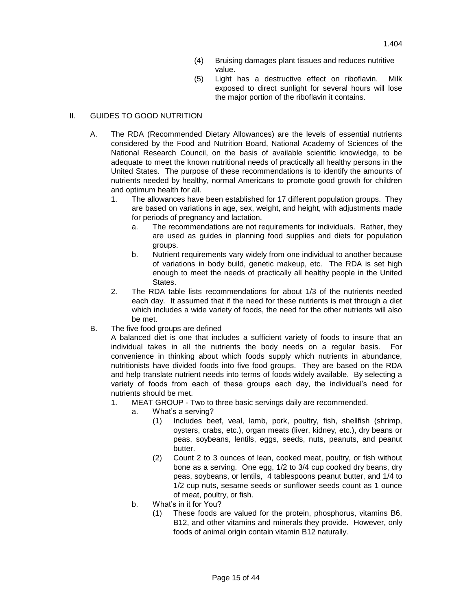- (4) Bruising damages plant tissues and reduces nutritive value.
- (5) Light has a destructive effect on riboflavin. Milk exposed to direct sunlight for several hours will lose the major portion of the riboflavin it contains.

# II. GUIDES TO GOOD NUTRITION

- A. The RDA (Recommended Dietary Allowances) are the levels of essential nutrients considered by the Food and Nutrition Board, National Academy of Sciences of the National Research Council, on the basis of available scientific knowledge, to be adequate to meet the known nutritional needs of practically all healthy persons in the United States. The purpose of these recommendations is to identify the amounts of nutrients needed by healthy, normal Americans to promote good growth for children and optimum health for all.
	- 1. The allowances have been established for 17 different population groups. They are based on variations in age, sex, weight, and height, with adjustments made for periods of pregnancy and lactation.
		- a. The recommendations are not requirements for individuals. Rather, they are used as guides in planning food supplies and diets for population groups.
		- b. Nutrient requirements vary widely from one individual to another because of variations in body build, genetic makeup, etc. The RDA is set high enough to meet the needs of practically all healthy people in the United States.
	- 2. The RDA table lists recommendations for about 1/3 of the nutrients needed each day. It assumed that if the need for these nutrients is met through a diet which includes a wide variety of foods, the need for the other nutrients will also be met.
- B. The five food groups are defined

A balanced diet is one that includes a sufficient variety of foods to insure that an individual takes in all the nutrients the body needs on a regular basis. For convenience in thinking about which foods supply which nutrients in abundance, nutritionists have divided foods into five food groups. They are based on the RDA and help translate nutrient needs into terms of foods widely available. By selecting a variety of foods from each of these groups each day, the individual's need for nutrients should be met.

- 1. MEAT GROUP Two to three basic servings daily are recommended.
	- a. What's a serving?
		- (1) Includes beef, veal, lamb, pork, poultry, fish, shellfish (shrimp, oysters, crabs, etc.), organ meats (liver, kidney, etc.), dry beans or peas, soybeans, lentils, eggs, seeds, nuts, peanuts, and peanut butter.
		- (2) Count 2 to 3 ounces of lean, cooked meat, poultry, or fish without bone as a serving. One egg, 1/2 to 3/4 cup cooked dry beans, dry peas, soybeans, or lentils, 4 tablespoons peanut butter, and 1/4 to 1/2 cup nuts, sesame seeds or sunflower seeds count as 1 ounce of meat, poultry, or fish.
	- b. What's in it for You?
		- (1) These foods are valued for the protein, phosphorus, vitamins B6, B12, and other vitamins and minerals they provide. However, only foods of animal origin contain vitamin B12 naturally.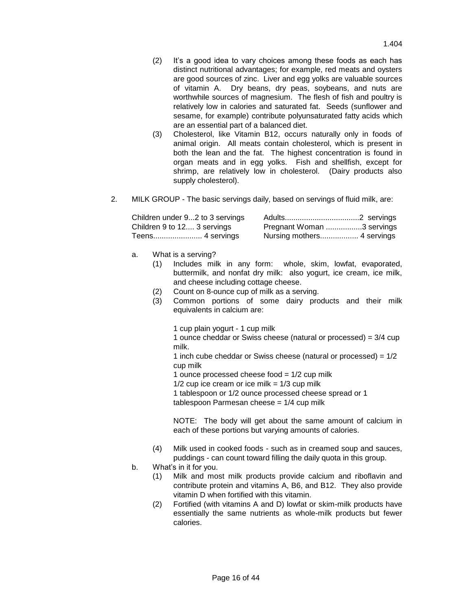- (2) It's a good idea to vary choices among these foods as each has distinct nutritional advantages; for example, red meats and oysters are good sources of zinc. Liver and egg yolks are valuable sources of vitamin A. Dry beans, dry peas, soybeans, and nuts are worthwhile sources of magnesium. The flesh of fish and poultry is relatively low in calories and saturated fat. Seeds (sunflower and sesame, for example) contribute polyunsaturated fatty acids which are an essential part of a balanced diet.
- (3) Cholesterol, like Vitamin B12, occurs naturally only in foods of animal origin. All meats contain cholesterol, which is present in both the lean and the fat. The highest concentration is found in organ meats and in egg yolks. Fish and shellfish, except for shrimp, are relatively low in cholesterol. (Dairy products also supply cholesterol).
- 2. MILK GROUP The basic servings daily, based on servings of fluid milk, are:

| Children under 92 to 3 servings |                           |  |
|---------------------------------|---------------------------|--|
| Children 9 to 12 3 servings     | Pregnant Woman 3 servings |  |
|                                 |                           |  |

- a. What is a serving?
	- (1) Includes milk in any form: whole, skim, lowfat, evaporated, buttermilk, and nonfat dry milk: also yogurt, ice cream, ice milk, and cheese including cottage cheese.
	- (2) Count on 8-ounce cup of milk as a serving.
	- (3) Common portions of some dairy products and their milk equivalents in calcium are:

1 cup plain yogurt - 1 cup milk

1 ounce cheddar or Swiss cheese (natural or processed) = 3/4 cup milk.

1 inch cube cheddar or Swiss cheese (natural or processed) =  $1/2$ cup milk

1 ounce processed cheese food  $= 1/2$  cup milk

 $1/2$  cup ice cream or ice milk =  $1/3$  cup milk

1 tablespoon or 1/2 ounce processed cheese spread or 1 tablespoon Parmesan cheese = 1/4 cup milk

NOTE: The body will get about the same amount of calcium in each of these portions but varying amounts of calories.

- (4) Milk used in cooked foods such as in creamed soup and sauces, puddings - can count toward filling the daily quota in this group.
- b. What's in it for you.
	- (1) Milk and most milk products provide calcium and riboflavin and contribute protein and vitamins A, B6, and B12. They also provide vitamin D when fortified with this vitamin.
	- (2) Fortified (with vitamins A and D) lowfat or skim-milk products have essentially the same nutrients as whole-milk products but fewer calories.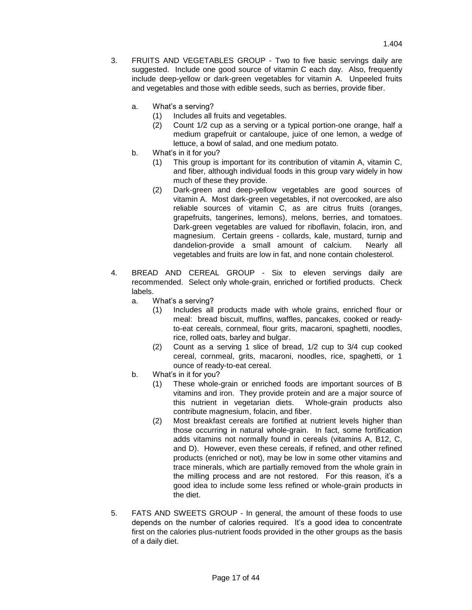- 3. FRUITS AND VEGETABLES GROUP Two to five basic servings daily are suggested. Include one good source of vitamin C each day. Also, frequently include deep-yellow or dark-green vegetables for vitamin A. Unpeeled fruits and vegetables and those with edible seeds, such as berries, provide fiber.
	- a. What's a serving?
		- (1) Includes all fruits and vegetables.
		- (2) Count 1/2 cup as a serving or a typical portion-one orange, half a medium grapefruit or cantaloupe, juice of one lemon, a wedge of lettuce, a bowl of salad, and one medium potato.
	- b. What's in it for you?
		- (1) This group is important for its contribution of vitamin A, vitamin C, and fiber, although individual foods in this group vary widely in how much of these they provide.
		- (2) Dark-green and deep-yellow vegetables are good sources of vitamin A. Most dark-green vegetables, if not overcooked, are also reliable sources of vitamin C, as are citrus fruits (oranges, grapefruits, tangerines, lemons), melons, berries, and tomatoes. Dark-green vegetables are valued for riboflavin, folacin, iron, and magnesium. Certain greens - collards, kale, mustard, turnip and dandelion-provide a small amount of calcium. Nearly all vegetables and fruits are low in fat, and none contain cholesterol.
- 4. BREAD AND CEREAL GROUP Six to eleven servings daily are recommended. Select only whole-grain, enriched or fortified products. Check labels.
	- a. What's a serving?
		- (1) Includes all products made with whole grains, enriched flour or meal: bread biscuit, muffins, waffles, pancakes, cooked or readyto-eat cereals, cornmeal, flour grits, macaroni, spaghetti, noodles, rice, rolled oats, barley and bulgar.
		- (2) Count as a serving 1 slice of bread, 1/2 cup to 3/4 cup cooked cereal, cornmeal, grits, macaroni, noodles, rice, spaghetti, or 1 ounce of ready-to-eat cereal.
	- b. What's in it for you?
		- (1) These whole-grain or enriched foods are important sources of B vitamins and iron. They provide protein and are a major source of this nutrient in vegetarian diets. Whole-grain products also contribute magnesium, folacin, and fiber.
		- (2) Most breakfast cereals are fortified at nutrient levels higher than those occurring in natural whole-grain. In fact, some fortification adds vitamins not normally found in cereals (vitamins A, B12, C, and D). However, even these cereals, if refined, and other refined products (enriched or not), may be low in some other vitamins and trace minerals, which are partially removed from the whole grain in the milling process and are not restored. For this reason, it's a good idea to include some less refined or whole-grain products in the diet.
- 5. FATS AND SWEETS GROUP In general, the amount of these foods to use depends on the number of calories required. It's a good idea to concentrate first on the calories plus-nutrient foods provided in the other groups as the basis of a daily diet.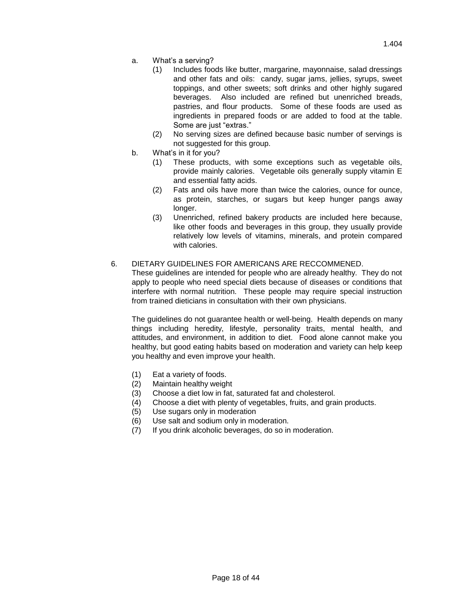- a. What's a serving?
	- (1) Includes foods like butter, margarine, mayonnaise, salad dressings and other fats and oils: candy, sugar jams, jellies, syrups, sweet toppings, and other sweets; soft drinks and other highly sugared beverages. Also included are refined but unenriched breads, pastries, and flour products. Some of these foods are used as ingredients in prepared foods or are added to food at the table. Some are just "extras."
	- (2) No serving sizes are defined because basic number of servings is not suggested for this group.
- b. What's in it for you?
	- (1) These products, with some exceptions such as vegetable oils, provide mainly calories. Vegetable oils generally supply vitamin E and essential fatty acids.
	- (2) Fats and oils have more than twice the calories, ounce for ounce, as protein, starches, or sugars but keep hunger pangs away longer.
	- (3) Unenriched, refined bakery products are included here because, like other foods and beverages in this group, they usually provide relatively low levels of vitamins, minerals, and protein compared with calories.

# 6. DIETARY GUIDELINES FOR AMERICANS ARE RECCOMMENED.

These guidelines are intended for people who are already healthy. They do not apply to people who need special diets because of diseases or conditions that interfere with normal nutrition. These people may require special instruction from trained dieticians in consultation with their own physicians.

The guidelines do not guarantee health or well-being. Health depends on many things including heredity, lifestyle, personality traits, mental health, and attitudes, and environment, in addition to diet. Food alone cannot make you healthy, but good eating habits based on moderation and variety can help keep you healthy and even improve your health.

- (1) Eat a variety of foods.
- (2) Maintain healthy weight
- (3) Choose a diet low in fat, saturated fat and cholesterol.
- (4) Choose a diet with plenty of vegetables, fruits, and grain products.
- (5) Use sugars only in moderation
- (6) Use salt and sodium only in moderation.
- (7) If you drink alcoholic beverages, do so in moderation.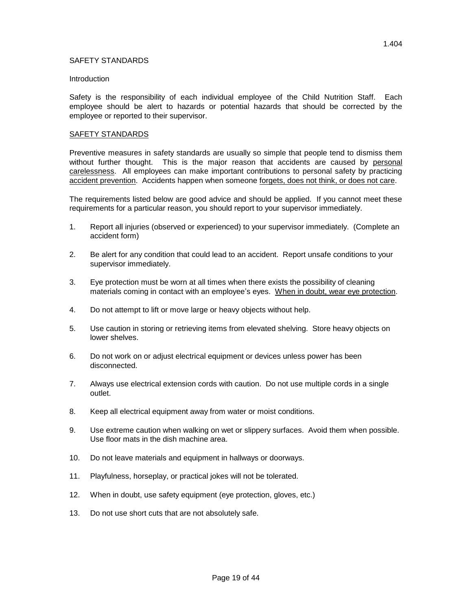# SAFETY STANDARDS

#### **Introduction**

Safety is the responsibility of each individual employee of the Child Nutrition Staff. Each employee should be alert to hazards or potential hazards that should be corrected by the employee or reported to their supervisor.

# SAFETY STANDARDS

Preventive measures in safety standards are usually so simple that people tend to dismiss them without further thought. This is the major reason that accidents are caused by personal carelessness. All employees can make important contributions to personal safety by practicing accident prevention. Accidents happen when someone forgets, does not think, or does not care.

The requirements listed below are good advice and should be applied. If you cannot meet these requirements for a particular reason, you should report to your supervisor immediately.

- 1. Report all injuries (observed or experienced) to your supervisor immediately. (Complete an accident form)
- 2. Be alert for any condition that could lead to an accident. Report unsafe conditions to your supervisor immediately.
- 3. Eye protection must be worn at all times when there exists the possibility of cleaning materials coming in contact with an employee's eyes. When in doubt, wear eye protection.
- 4. Do not attempt to lift or move large or heavy objects without help.
- 5. Use caution in storing or retrieving items from elevated shelving. Store heavy objects on lower shelves.
- 6. Do not work on or adjust electrical equipment or devices unless power has been disconnected.
- 7. Always use electrical extension cords with caution. Do not use multiple cords in a single outlet.
- 8. Keep all electrical equipment away from water or moist conditions.
- 9. Use extreme caution when walking on wet or slippery surfaces. Avoid them when possible. Use floor mats in the dish machine area.
- 10. Do not leave materials and equipment in hallways or doorways.
- 11. Playfulness, horseplay, or practical jokes will not be tolerated.
- 12. When in doubt, use safety equipment (eye protection, gloves, etc.)
- 13. Do not use short cuts that are not absolutely safe.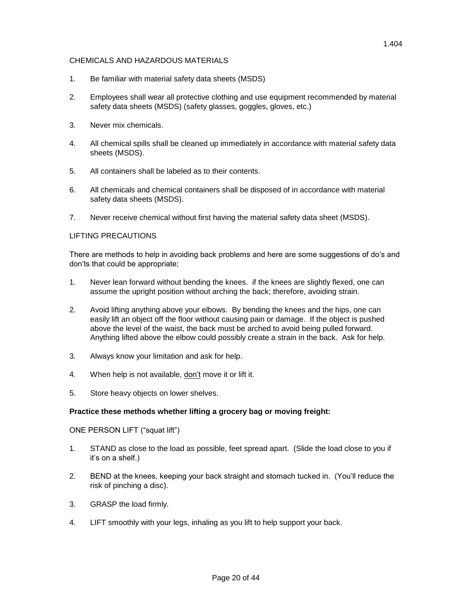# CHEMICALS AND HAZARDOUS MATERIALS

- 1. Be familiar with material safety data sheets (MSDS)
- 2. Employees shall wear all protective clothing and use equipment recommended by material safety data sheets (MSDS) (safety glasses, goggles, gloves, etc.)
- 3. Never mix chemicals.
- 4. All chemical spills shall be cleaned up immediately in accordance with material safety data sheets (MSDS).
- 5. All containers shall be labeled as to their contents.
- 6. All chemicals and chemical containers shall be disposed of in accordance with material safety data sheets (MSDS).
- 7. Never receive chemical without first having the material safety data sheet (MSDS).

# LIFTING PRECAUTIONS

There are methods to help in avoiding back problems and here are some suggestions of do's and don'ts that could be appropriate;

- 1. Never lean forward without bending the knees. if the knees are slightly flexed, one can assume the upright position without arching the back; therefore, avoiding strain.
- 2. Avoid lifting anything above your elbows. By bending the knees and the hips, one can easily lift an object off the floor without causing pain or damage. If the object is pushed above the level of the waist, the back must be arched to avoid being pulled forward. Anything lifted above the elbow could possibly create a strain in the back. Ask for help.
- 3. Always know your limitation and ask for help.
- 4. When help is not available, don't move it or lift it.
- 5. Store heavy objects on lower shelves.

#### **Practice these methods whether lifting a grocery bag or moving freight:**

#### ONE PERSON LIFT ("squat lift")

- 1. STAND as close to the load as possible, feet spread apart. (Slide the load close to you if it's on a shelf.)
- 2. BEND at the knees, keeping your back straight and stomach tucked in. (You'll reduce the risk of pinching a disc).
- 3. GRASP the load firmly.
- 4. LIFT smoothly with your legs, inhaling as you lift to help support your back.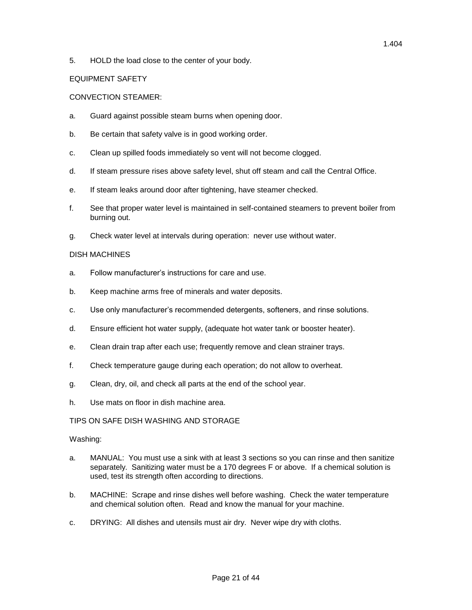5. HOLD the load close to the center of your body.

# EQUIPMENT SAFETY

# CONVECTION STEAMER:

- a. Guard against possible steam burns when opening door.
- b. Be certain that safety valve is in good working order.
- c. Clean up spilled foods immediately so vent will not become clogged.
- d. If steam pressure rises above safety level, shut off steam and call the Central Office.
- e. If steam leaks around door after tightening, have steamer checked.
- f. See that proper water level is maintained in self-contained steamers to prevent boiler from burning out.
- g. Check water level at intervals during operation: never use without water.

# DISH MACHINES

- a. Follow manufacturer's instructions for care and use.
- b. Keep machine arms free of minerals and water deposits.
- c. Use only manufacturer's recommended detergents, softeners, and rinse solutions.
- d. Ensure efficient hot water supply, (adequate hot water tank or booster heater).
- e. Clean drain trap after each use; frequently remove and clean strainer trays.
- f. Check temperature gauge during each operation; do not allow to overheat.
- g. Clean, dry, oil, and check all parts at the end of the school year.
- h. Use mats on floor in dish machine area.

#### TIPS ON SAFE DISH WASHING AND STORAGE

#### Washing:

- a. MANUAL: You must use a sink with at least 3 sections so you can rinse and then sanitize separately. Sanitizing water must be a 170 degrees F or above. If a chemical solution is used, test its strength often according to directions.
- b. MACHINE: Scrape and rinse dishes well before washing. Check the water temperature and chemical solution often. Read and know the manual for your machine.
- c. DRYING: All dishes and utensils must air dry. Never wipe dry with cloths.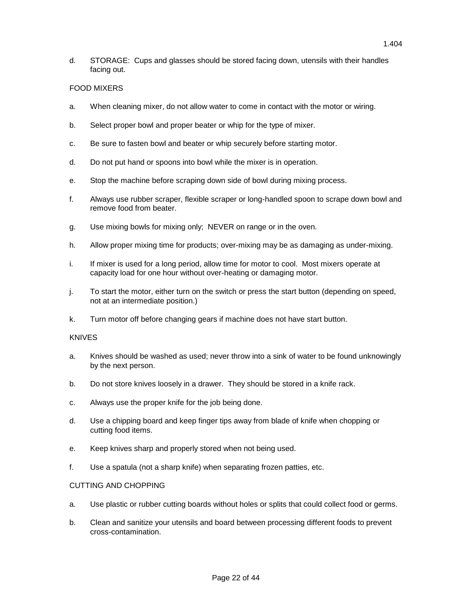d. STORAGE: Cups and glasses should be stored facing down, utensils with their handles facing out.

# FOOD MIXERS

- a. When cleaning mixer, do not allow water to come in contact with the motor or wiring.
- b. Select proper bowl and proper beater or whip for the type of mixer.
- c. Be sure to fasten bowl and beater or whip securely before starting motor.
- d. Do not put hand or spoons into bowl while the mixer is in operation.
- e. Stop the machine before scraping down side of bowl during mixing process.
- f. Always use rubber scraper, flexible scraper or long-handled spoon to scrape down bowl and remove food from beater.
- g. Use mixing bowls for mixing only; NEVER on range or in the oven.
- h. Allow proper mixing time for products; over-mixing may be as damaging as under-mixing.
- i. If mixer is used for a long period, allow time for motor to cool. Most mixers operate at capacity load for one hour without over-heating or damaging motor.
- j. To start the motor, either turn on the switch or press the start button (depending on speed, not at an intermediate position.)
- k. Turn motor off before changing gears if machine does not have start button.

#### KNIVES

- a. Knives should be washed as used; never throw into a sink of water to be found unknowingly by the next person.
- b. Do not store knives loosely in a drawer. They should be stored in a knife rack.
- c. Always use the proper knife for the job being done.
- d. Use a chipping board and keep finger tips away from blade of knife when chopping or cutting food items.
- e. Keep knives sharp and properly stored when not being used.
- f. Use a spatula (not a sharp knife) when separating frozen patties, etc.

#### CUTTING AND CHOPPING

- a. Use plastic or rubber cutting boards without holes or splits that could collect food or germs.
- b. Clean and sanitize your utensils and board between processing different foods to prevent cross-contamination.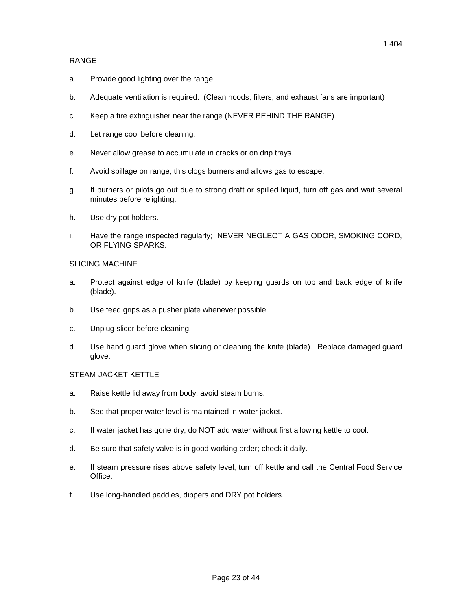## RANGE

- a. Provide good lighting over the range.
- b. Adequate ventilation is required. (Clean hoods, filters, and exhaust fans are important)
- c. Keep a fire extinguisher near the range (NEVER BEHIND THE RANGE).
- d. Let range cool before cleaning.
- e. Never allow grease to accumulate in cracks or on drip trays.
- f. Avoid spillage on range; this clogs burners and allows gas to escape.
- g. If burners or pilots go out due to strong draft or spilled liquid, turn off gas and wait several minutes before relighting.
- h. Use dry pot holders.
- i. Have the range inspected regularly; NEVER NEGLECT A GAS ODOR, SMOKING CORD, OR FLYING SPARKS.

# SLICING MACHINE

- a. Protect against edge of knife (blade) by keeping guards on top and back edge of knife (blade).
- b. Use feed grips as a pusher plate whenever possible.
- c. Unplug slicer before cleaning.
- d. Use hand guard glove when slicing or cleaning the knife (blade). Replace damaged guard glove.

#### STEAM-JACKET KETTLE

- a. Raise kettle lid away from body; avoid steam burns.
- b. See that proper water level is maintained in water jacket.
- c. If water jacket has gone dry, do NOT add water without first allowing kettle to cool.
- d. Be sure that safety valve is in good working order; check it daily.
- e. If steam pressure rises above safety level, turn off kettle and call the Central Food Service **Office**
- f. Use long-handled paddles, dippers and DRY pot holders.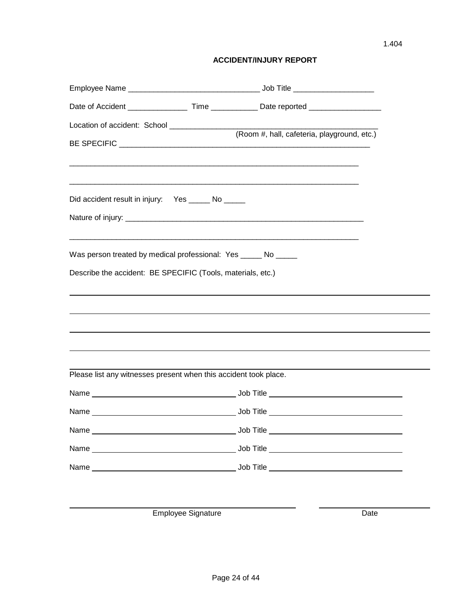# **ACCIDENT/INJURY REPORT**

|                                                                  | (Room #, hall, cafeteria, playground, etc.)                                      |  |
|------------------------------------------------------------------|----------------------------------------------------------------------------------|--|
|                                                                  |                                                                                  |  |
| <u> 1980 - Jan Barnett, fransk politik (d. 1980)</u>             |                                                                                  |  |
| Did accident result in injury: Yes ______ No _____               |                                                                                  |  |
|                                                                  |                                                                                  |  |
| Was person treated by medical professional: Yes _____ No _____   |                                                                                  |  |
| Describe the accident: BE SPECIFIC (Tools, materials, etc.)      |                                                                                  |  |
|                                                                  | ,我们也不会有什么。""我们的人,我们也不会有什么?""我们的人,我们也不会有什么?""我们的人,我们也不会有什么?""我们的人,我们也不会有什么?""我们的人 |  |
|                                                                  | ,我们也不会有什么?""我们的人,我们也不会有什么?""我们的人,我们也不会有什么?""我们的人,我们也不会有什么?""我们的人,我们也不会有什么?""我们的人 |  |
|                                                                  | ,我们也不会有什么。""我们的人,我们也不会有什么?""我们的人,我们也不会有什么?""我们的人,我们也不会有什么?""我们的人,我们也不会有什么?""我们的人 |  |
|                                                                  | ,我们也不会有什么?""我们的人,我们也不会有什么?""我们的人,我们也不会有什么?""我们的人,我们也不会有什么?""我们的人,我们也不会有什么?""我们的人 |  |
| Please list any witnesses present when this accident took place. |                                                                                  |  |
|                                                                  |                                                                                  |  |
|                                                                  |                                                                                  |  |
|                                                                  |                                                                                  |  |
|                                                                  |                                                                                  |  |
|                                                                  |                                                                                  |  |
|                                                                  |                                                                                  |  |

Employee Signature Date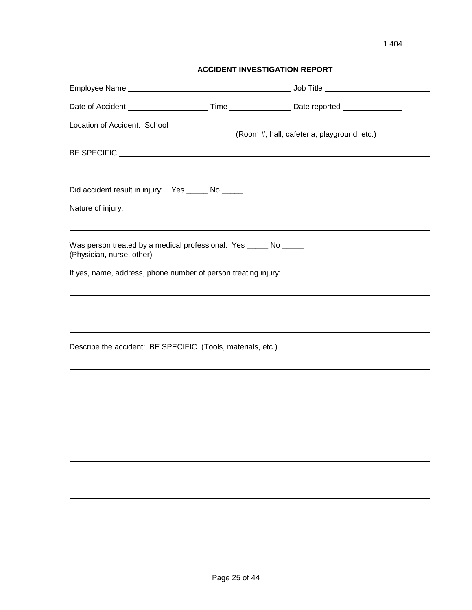# **ACCIDENT INVESTIGATION REPORT**

| Location of Accident: School ________________                                                 |                                                                                  |  |
|-----------------------------------------------------------------------------------------------|----------------------------------------------------------------------------------|--|
|                                                                                               | (Room #, hall, cafeteria, playground, etc.)                                      |  |
|                                                                                               |                                                                                  |  |
|                                                                                               |                                                                                  |  |
| Did accident result in injury: Yes ______ No _____                                            |                                                                                  |  |
|                                                                                               |                                                                                  |  |
|                                                                                               |                                                                                  |  |
| Was person treated by a medical professional: Yes _____ No _____<br>(Physician, nurse, other) |                                                                                  |  |
| If yes, name, address, phone number of person treating injury:                                |                                                                                  |  |
|                                                                                               | ,我们也不会有什么。""我们的人,我们也不会有什么?""我们的人,我们也不会有什么?""我们的人,我们也不会有什么?""我们的人,我们也不会有什么?""我们的人 |  |
|                                                                                               | ,我们也不会有什么。""我们的人,我们也不会有什么?""我们的人,我们也不会有什么?""我们的人,我们也不会有什么?""我们的人,我们也不会有什么?""我们的人 |  |
| Describe the accident: BE SPECIFIC (Tools, materials, etc.)                                   |                                                                                  |  |
|                                                                                               | ,我们也不会有什么。""我们的人,我们也不会有什么?""我们的人,我们也不会有什么?""我们的人,我们也不会有什么?""我们的人,我们也不会有什么?""我们的人 |  |
|                                                                                               | ,我们也不会有什么。""我们的人,我们也不会有什么?""我们的人,我们也不会有什么?""我们的人,我们也不会有什么?""我们的人,我们也不会有什么?""我们的人 |  |
|                                                                                               |                                                                                  |  |
|                                                                                               |                                                                                  |  |
|                                                                                               |                                                                                  |  |
|                                                                                               |                                                                                  |  |
|                                                                                               |                                                                                  |  |
|                                                                                               |                                                                                  |  |
|                                                                                               |                                                                                  |  |
|                                                                                               |                                                                                  |  |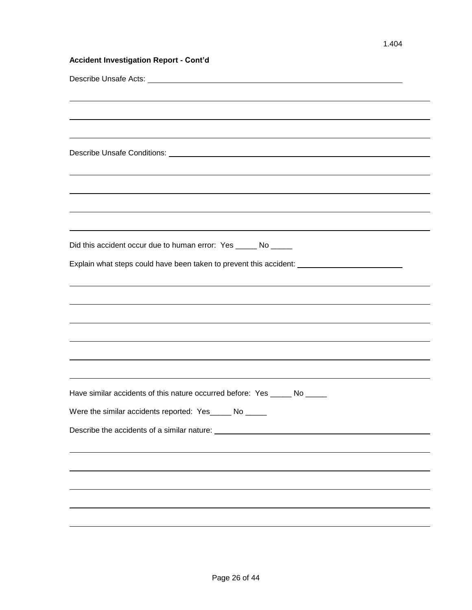| <b>Accident Investigation Report - Cont'd</b>                                                                         |
|-----------------------------------------------------------------------------------------------------------------------|
|                                                                                                                       |
| ,我们也不会有什么。""我们的人,我们也不会有什么?""我们的人,我们也不会有什么?""我们的人,我们也不会有什么?""我们的人,我们也不会有什么?""我们的人                                      |
|                                                                                                                       |
| ,我们也不会有什么。""我们的人,我们也不会有什么?""我们的人,我们也不会有什么?""我们的人,我们也不会有什么?""我们的人,我们也不会有什么?""我们的人                                      |
|                                                                                                                       |
|                                                                                                                       |
|                                                                                                                       |
| <u> 1989 - Johann Barn, mars and deutscher Schwarzen und der Schwarzen und der Schwarzen und der Schwarzen und de</u> |
| <u> 1989 - Johann Barn, mars and deutscher Schwarzen und der Schwarzen und der Schwarzen und der Schwarzen und de</u> |
| ,我们也不会有什么。""我们的人,我们也不会有什么?""我们的人,我们也不会有什么?""我们的人,我们也不会有什么?""我们的人,我们也不会有什么?""我们的人                                      |
| Did this accident occur due to human error: Yes _____ No _____                                                        |
| Explain what steps could have been taken to prevent this accident: ________________________________                   |
| ,我们也不会有什么。""我们的人,我们也不会有什么?""我们的人,我们也不会有什么?""我们的人,我们也不会有什么?""我们的人,我们也不会有什么?""我们的人                                      |
| ,我们也不会有什么。""我们的人,我们也不会有什么?""我们的人,我们也不会有什么?""我们的人,我们也不会有什么?""我们的人,我们也不会有什么?""我们的人                                      |
|                                                                                                                       |
|                                                                                                                       |
|                                                                                                                       |
| <u> 1989 - Andrea Santa Alemania, amerikana amerikana amerikana amerikana amerikana amerikana amerikana amerikana</u> |
| <u> 1989 - Johann Harry Harry Harry Harry Harry Harry Harry Harry Harry Harry Harry Harry Harry Harry Harry Harry</u> |
| Have similar accidents of this nature occurred before: Yes _____ No _____                                             |
| Were the similar accidents reported: Yes_____ No _____                                                                |
| Describe the accidents of a similar nature: Description of the state of the state of the state of the state of        |
|                                                                                                                       |
|                                                                                                                       |
|                                                                                                                       |
|                                                                                                                       |
|                                                                                                                       |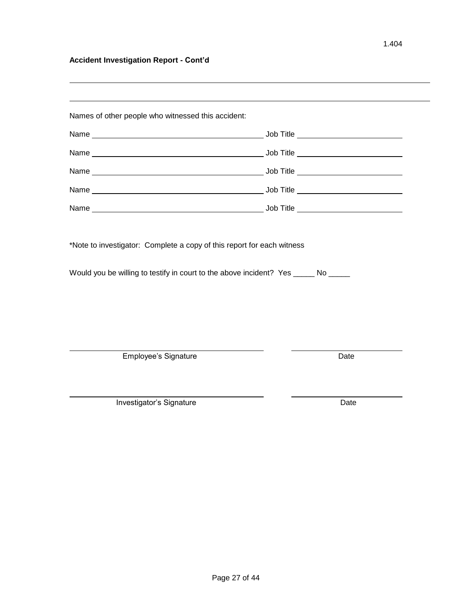# **Accident Investigation Report - Cont'd**

| *Note to investigator: Complete a copy of this report for each witness |                                                                                     |
|------------------------------------------------------------------------|-------------------------------------------------------------------------------------|
|                                                                        |                                                                                     |
|                                                                        |                                                                                     |
|                                                                        | Would you be willing to testify in court to the above incident? Yes ______ No _____ |
|                                                                        |                                                                                     |
|                                                                        |                                                                                     |
| <b>Employee's Signature</b>                                            | Date                                                                                |

÷,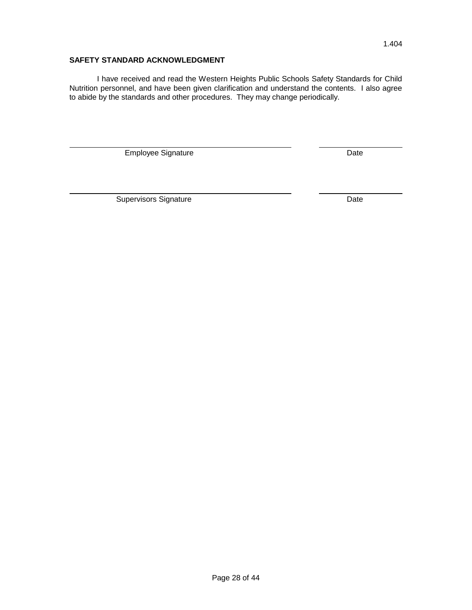# **SAFETY STANDARD ACKNOWLEDGMENT**

I have received and read the Western Heights Public Schools Safety Standards for Child Nutrition personnel, and have been given clarification and understand the contents. I also agree to abide by the standards and other procedures. They may change periodically.

Employee Signature **Date** Date

Supervisors Signature **Date** Date **Date**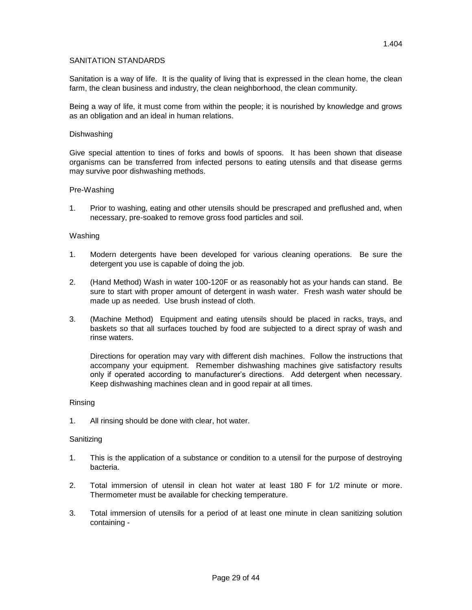# SANITATION STANDARDS

Sanitation is a way of life. It is the quality of living that is expressed in the clean home, the clean farm, the clean business and industry, the clean neighborhood, the clean community.

Being a way of life, it must come from within the people; it is nourished by knowledge and grows as an obligation and an ideal in human relations.

#### Dishwashing

Give special attention to tines of forks and bowls of spoons. It has been shown that disease organisms can be transferred from infected persons to eating utensils and that disease germs may survive poor dishwashing methods.

#### Pre-Washing

1. Prior to washing, eating and other utensils should be prescraped and preflushed and, when necessary, pre-soaked to remove gross food particles and soil.

#### Washing

- 1. Modern detergents have been developed for various cleaning operations. Be sure the detergent you use is capable of doing the job.
- 2. (Hand Method) Wash in water 100-120F or as reasonably hot as your hands can stand. Be sure to start with proper amount of detergent in wash water. Fresh wash water should be made up as needed. Use brush instead of cloth.
- 3. (Machine Method) Equipment and eating utensils should be placed in racks, trays, and baskets so that all surfaces touched by food are subjected to a direct spray of wash and rinse waters.

Directions for operation may vary with different dish machines. Follow the instructions that accompany your equipment. Remember dishwashing machines give satisfactory results only if operated according to manufacturer's directions. Add detergent when necessary. Keep dishwashing machines clean and in good repair at all times.

#### Rinsing

1. All rinsing should be done with clear, hot water.

#### Sanitizing

- 1. This is the application of a substance or condition to a utensil for the purpose of destroying bacteria.
- 2. Total immersion of utensil in clean hot water at least 180 F for 1/2 minute or more. Thermometer must be available for checking temperature.
- 3. Total immersion of utensils for a period of at least one minute in clean sanitizing solution containing -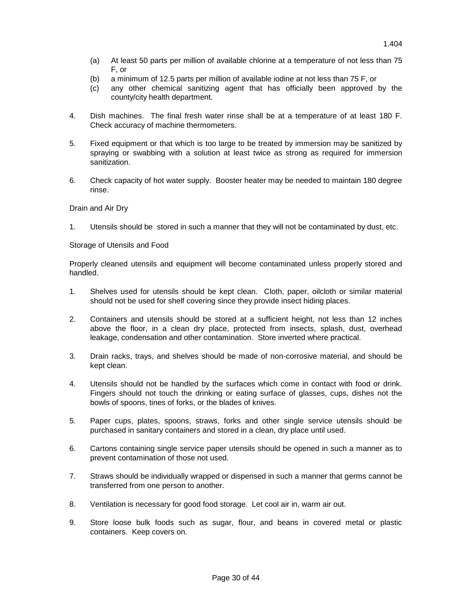- (a) At least 50 parts per million of available chlorine at a temperature of not less than 75 F, or
- (b) a minimum of 12.5 parts per million of available iodine at not less than 75 F, or
- (c) any other chemical sanitizing agent that has officially been approved by the county/city health department.
- 4. Dish machines. The final fresh water rinse shall be at a temperature of at least 180 F. Check accuracy of machine thermometers.
- 5. Fixed equipment or that which is too large to be treated by immersion may be sanitized by spraying or swabbing with a solution at least twice as strong as required for immersion sanitization.
- 6. Check capacity of hot water supply. Booster heater may be needed to maintain 180 degree rinse.

# Drain and Air Dry

1. Utensils should be stored in such a manner that they will not be contaminated by dust, etc.

#### Storage of Utensils and Food

Properly cleaned utensils and equipment will become contaminated unless properly stored and handled.

- 1. Shelves used for utensils should be kept clean. Cloth, paper, oilcloth or similar material should not be used for shelf covering since they provide insect hiding places.
- 2. Containers and utensils should be stored at a sufficient height, not less than 12 inches above the floor, in a clean dry place, protected from insects, splash, dust, overhead leakage, condensation and other contamination. Store inverted where practical.
- 3. Drain racks, trays, and shelves should be made of non-corrosive material, and should be kept clean.
- 4. Utensils should not be handled by the surfaces which come in contact with food or drink. Fingers should not touch the drinking or eating surface of glasses, cups, dishes not the bowls of spoons, tines of forks, or the blades of knives.
- 5. Paper cups, plates, spoons, straws, forks and other single service utensils should be purchased in sanitary containers and stored in a clean, dry place until used.
- 6. Cartons containing single service paper utensils should be opened in such a manner as to prevent contamination of those not used.
- 7. Straws should be individually wrapped or dispensed in such a manner that germs cannot be transferred from one person to another.
- 8. Ventilation is necessary for good food storage. Let cool air in, warm air out.
- 9. Store loose bulk foods such as sugar, flour, and beans in covered metal or plastic containers. Keep covers on.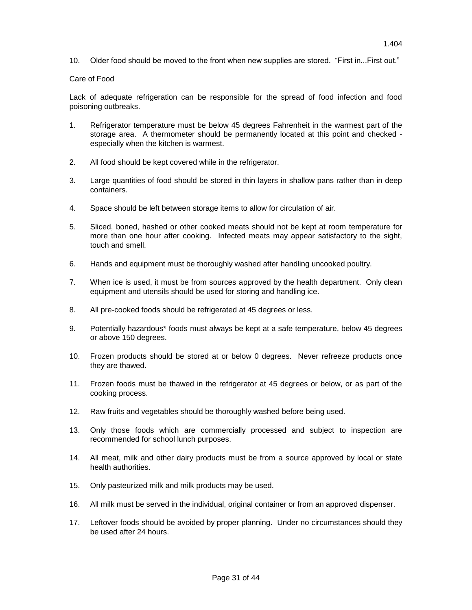10. Older food should be moved to the front when new supplies are stored. "First in...First out."

# Care of Food

Lack of adequate refrigeration can be responsible for the spread of food infection and food poisoning outbreaks.

- 1. Refrigerator temperature must be below 45 degrees Fahrenheit in the warmest part of the storage area. A thermometer should be permanently located at this point and checked especially when the kitchen is warmest.
- 2. All food should be kept covered while in the refrigerator.
- 3. Large quantities of food should be stored in thin layers in shallow pans rather than in deep containers.
- 4. Space should be left between storage items to allow for circulation of air.
- 5. Sliced, boned, hashed or other cooked meats should not be kept at room temperature for more than one hour after cooking. Infected meats may appear satisfactory to the sight, touch and smell.
- 6. Hands and equipment must be thoroughly washed after handling uncooked poultry.
- 7. When ice is used, it must be from sources approved by the health department. Only clean equipment and utensils should be used for storing and handling ice.
- 8. All pre-cooked foods should be refrigerated at 45 degrees or less.
- 9. Potentially hazardous\* foods must always be kept at a safe temperature, below 45 degrees or above 150 degrees.
- 10. Frozen products should be stored at or below 0 degrees. Never refreeze products once they are thawed.
- 11. Frozen foods must be thawed in the refrigerator at 45 degrees or below, or as part of the cooking process.
- 12. Raw fruits and vegetables should be thoroughly washed before being used.
- 13. Only those foods which are commercially processed and subject to inspection are recommended for school lunch purposes.
- 14. All meat, milk and other dairy products must be from a source approved by local or state health authorities.
- 15. Only pasteurized milk and milk products may be used.
- 16. All milk must be served in the individual, original container or from an approved dispenser.
- 17. Leftover foods should be avoided by proper planning. Under no circumstances should they be used after 24 hours.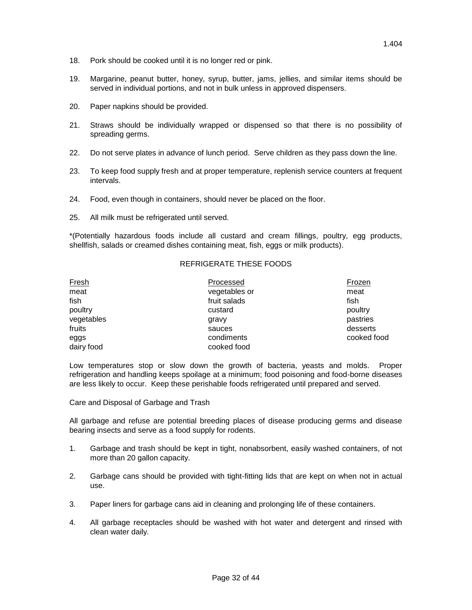- 18. Pork should be cooked until it is no longer red or pink.
- 19. Margarine, peanut butter, honey, syrup, butter, jams, jellies, and similar items should be served in individual portions, and not in bulk unless in approved dispensers.
- 20. Paper napkins should be provided.
- 21. Straws should be individually wrapped or dispensed so that there is no possibility of spreading germs.
- 22. Do not serve plates in advance of lunch period. Serve children as they pass down the line.
- 23. To keep food supply fresh and at proper temperature, replenish service counters at frequent intervals.
- 24. Food, even though in containers, should never be placed on the floor.
- 25. All milk must be refrigerated until served.

\*(Potentially hazardous foods include all custard and cream fillings, poultry, egg products, shellfish, salads or creamed dishes containing meat, fish, eggs or milk products).

### REFRIGERATE THESE FOODS

| <b>Fresh</b> | Processed     | Frozen      |
|--------------|---------------|-------------|
| meat         | vegetables or | meat        |
| fish         | fruit salads  | fish        |
| poultry      | custard       | poultry     |
| vegetables   | gravy         | pastries    |
| fruits       | sauces        | desserts    |
| eggs         | condiments    | cooked food |
| dairy food   | cooked food   |             |

Low temperatures stop or slow down the growth of bacteria, yeasts and molds. Proper refrigeration and handling keeps spoilage at a minimum; food poisoning and food-borne diseases are less likely to occur. Keep these perishable foods refrigerated until prepared and served.

Care and Disposal of Garbage and Trash

All garbage and refuse are potential breeding places of disease producing germs and disease bearing insects and serve as a food supply for rodents.

- 1. Garbage and trash should be kept in tight, nonabsorbent, easily washed containers, of not more than 20 gallon capacity.
- 2. Garbage cans should be provided with tight-fitting lids that are kept on when not in actual use.
- 3. Paper liners for garbage cans aid in cleaning and prolonging life of these containers.
- 4. All garbage receptacles should be washed with hot water and detergent and rinsed with clean water daily.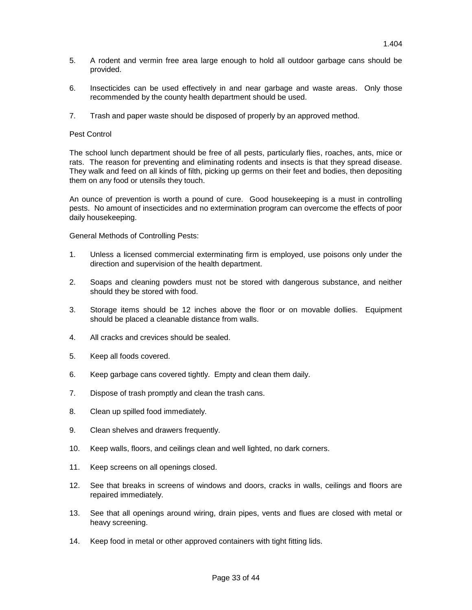- 5. A rodent and vermin free area large enough to hold all outdoor garbage cans should be provided.
- 6. Insecticides can be used effectively in and near garbage and waste areas. Only those recommended by the county health department should be used.
- 7. Trash and paper waste should be disposed of properly by an approved method.

#### Pest Control

The school lunch department should be free of all pests, particularly flies, roaches, ants, mice or rats. The reason for preventing and eliminating rodents and insects is that they spread disease. They walk and feed on all kinds of filth, picking up germs on their feet and bodies, then depositing them on any food or utensils they touch.

An ounce of prevention is worth a pound of cure. Good housekeeping is a must in controlling pests. No amount of insecticides and no extermination program can overcome the effects of poor daily housekeeping.

General Methods of Controlling Pests:

- 1. Unless a licensed commercial exterminating firm is employed, use poisons only under the direction and supervision of the health department.
- 2. Soaps and cleaning powders must not be stored with dangerous substance, and neither should they be stored with food.
- 3. Storage items should be 12 inches above the floor or on movable dollies. Equipment should be placed a cleanable distance from walls.
- 4. All cracks and crevices should be sealed.
- 5. Keep all foods covered.
- 6. Keep garbage cans covered tightly. Empty and clean them daily.
- 7. Dispose of trash promptly and clean the trash cans.
- 8. Clean up spilled food immediately.
- 9. Clean shelves and drawers frequently.
- 10. Keep walls, floors, and ceilings clean and well lighted, no dark corners.
- 11. Keep screens on all openings closed.
- 12. See that breaks in screens of windows and doors, cracks in walls, ceilings and floors are repaired immediately.
- 13. See that all openings around wiring, drain pipes, vents and flues are closed with metal or heavy screening.
- 14. Keep food in metal or other approved containers with tight fitting lids.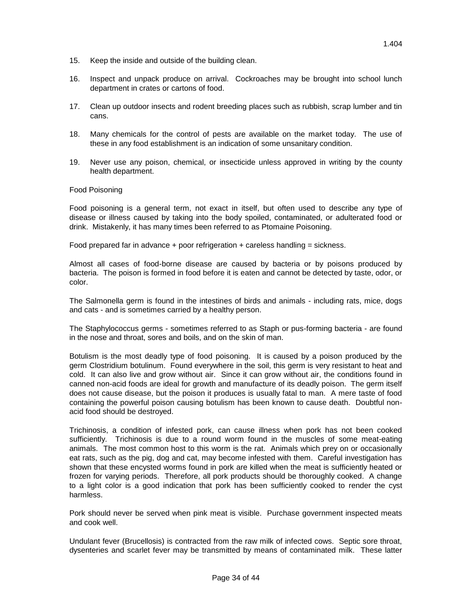- 15. Keep the inside and outside of the building clean.
- 16. Inspect and unpack produce on arrival. Cockroaches may be brought into school lunch department in crates or cartons of food.
- 17. Clean up outdoor insects and rodent breeding places such as rubbish, scrap lumber and tin cans.
- 18. Many chemicals for the control of pests are available on the market today. The use of these in any food establishment is an indication of some unsanitary condition.
- 19. Never use any poison, chemical, or insecticide unless approved in writing by the county health department.

#### Food Poisoning

Food poisoning is a general term, not exact in itself, but often used to describe any type of disease or illness caused by taking into the body spoiled, contaminated, or adulterated food or drink. Mistakenly, it has many times been referred to as Ptomaine Poisoning.

Food prepared far in advance  $+$  poor refrigeration  $+$  careless handling  $=$  sickness.

Almost all cases of food-borne disease are caused by bacteria or by poisons produced by bacteria. The poison is formed in food before it is eaten and cannot be detected by taste, odor, or color.

The Salmonella germ is found in the intestines of birds and animals - including rats, mice, dogs and cats - and is sometimes carried by a healthy person.

The Staphylococcus germs - sometimes referred to as Staph or pus-forming bacteria - are found in the nose and throat, sores and boils, and on the skin of man.

Botulism is the most deadly type of food poisoning. It is caused by a poison produced by the germ Clostridium botulinum. Found everywhere in the soil, this germ is very resistant to heat and cold. It can also live and grow without air. Since it can grow without air, the conditions found in canned non-acid foods are ideal for growth and manufacture of its deadly poison. The germ itself does not cause disease, but the poison it produces is usually fatal to man. A mere taste of food containing the powerful poison causing botulism has been known to cause death. Doubtful nonacid food should be destroyed.

Trichinosis, a condition of infested pork, can cause illness when pork has not been cooked sufficiently. Trichinosis is due to a round worm found in the muscles of some meat-eating animals. The most common host to this worm is the rat. Animals which prey on or occasionally eat rats, such as the pig, dog and cat, may become infested with them. Careful investigation has shown that these encysted worms found in pork are killed when the meat is sufficiently heated or frozen for varying periods. Therefore, all pork products should be thoroughly cooked. A change to a light color is a good indication that pork has been sufficiently cooked to render the cyst harmless.

Pork should never be served when pink meat is visible. Purchase government inspected meats and cook well.

Undulant fever (Brucellosis) is contracted from the raw milk of infected cows. Septic sore throat, dysenteries and scarlet fever may be transmitted by means of contaminated milk. These latter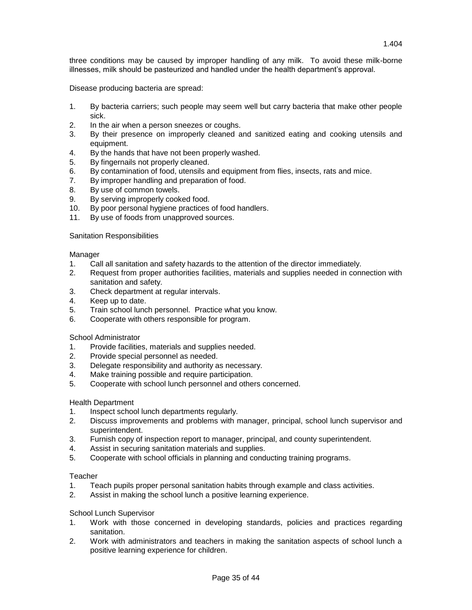three conditions may be caused by improper handling of any milk. To avoid these milk-borne illnesses, milk should be pasteurized and handled under the health department's approval.

Disease producing bacteria are spread:

- 1. By bacteria carriers; such people may seem well but carry bacteria that make other people sick.
- 2. In the air when a person sneezes or coughs.
- 3. By their presence on improperly cleaned and sanitized eating and cooking utensils and equipment.
- 4. By the hands that have not been properly washed.
- 5. By fingernails not properly cleaned.
- 6. By contamination of food, utensils and equipment from flies, insects, rats and mice.
- 7. By improper handling and preparation of food.
- 8. By use of common towels.
- 9. By serving improperly cooked food.
- 10. By poor personal hygiene practices of food handlers.
- 11. By use of foods from unapproved sources.

# Sanitation Responsibilities

Manager

- 1. Call all sanitation and safety hazards to the attention of the director immediately.
- 2. Request from proper authorities facilities, materials and supplies needed in connection with sanitation and safety.
- 3. Check department at regular intervals.
- 4. Keep up to date.
- 5. Train school lunch personnel. Practice what you know.
- 6. Cooperate with others responsible for program.

# School Administrator

- 1. Provide facilities, materials and supplies needed.
- 2. Provide special personnel as needed.
- 3. Delegate responsibility and authority as necessary.
- 4. Make training possible and require participation.
- 5. Cooperate with school lunch personnel and others concerned.

# Health Department

- 1. Inspect school lunch departments regularly.
- 2. Discuss improvements and problems with manager, principal, school lunch supervisor and superintendent.
- 3. Furnish copy of inspection report to manager, principal, and county superintendent.
- 4. Assist in securing sanitation materials and supplies.
- 5. Cooperate with school officials in planning and conducting training programs.

# Teacher

- 1. Teach pupils proper personal sanitation habits through example and class activities.
- 2. Assist in making the school lunch a positive learning experience.

# School Lunch Supervisor

- 1. Work with those concerned in developing standards, policies and practices regarding sanitation.
- 2. Work with administrators and teachers in making the sanitation aspects of school lunch a positive learning experience for children.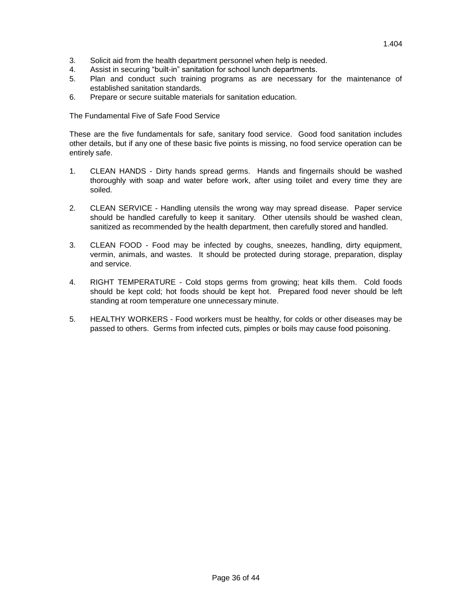- 4. Assist in securing "built-in" sanitation for school lunch departments.
- 5. Plan and conduct such training programs as are necessary for the maintenance of established sanitation standards.
- 6. Prepare or secure suitable materials for sanitation education.

The Fundamental Five of Safe Food Service

These are the five fundamentals for safe, sanitary food service. Good food sanitation includes other details, but if any one of these basic five points is missing, no food service operation can be entirely safe.

- 1. CLEAN HANDS Dirty hands spread germs. Hands and fingernails should be washed thoroughly with soap and water before work, after using toilet and every time they are soiled.
- 2. CLEAN SERVICE Handling utensils the wrong way may spread disease. Paper service should be handled carefully to keep it sanitary. Other utensils should be washed clean, sanitized as recommended by the health department, then carefully stored and handled.
- 3. CLEAN FOOD Food may be infected by coughs, sneezes, handling, dirty equipment, vermin, animals, and wastes. It should be protected during storage, preparation, display and service.
- 4. RIGHT TEMPERATURE Cold stops germs from growing; heat kills them. Cold foods should be kept cold; hot foods should be kept hot. Prepared food never should be left standing at room temperature one unnecessary minute.
- 5. HEALTHY WORKERS Food workers must be healthy, for colds or other diseases may be passed to others. Germs from infected cuts, pimples or boils may cause food poisoning.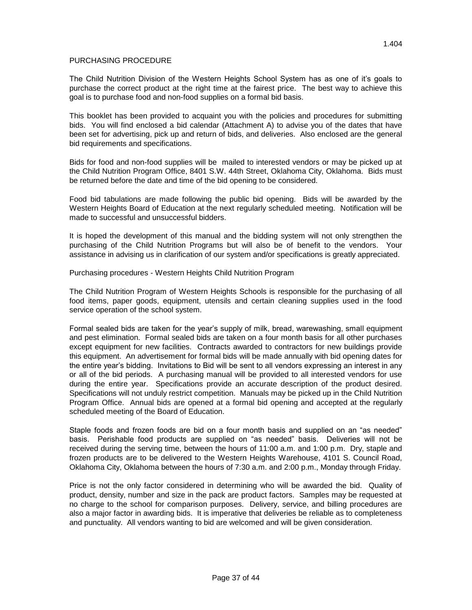## PURCHASING PROCEDURE

The Child Nutrition Division of the Western Heights School System has as one of it's goals to purchase the correct product at the right time at the fairest price. The best way to achieve this goal is to purchase food and non-food supplies on a formal bid basis.

This booklet has been provided to acquaint you with the policies and procedures for submitting bids. You will find enclosed a bid calendar (Attachment A) to advise you of the dates that have been set for advertising, pick up and return of bids, and deliveries. Also enclosed are the general bid requirements and specifications.

Bids for food and non-food supplies will be mailed to interested vendors or may be picked up at the Child Nutrition Program Office, 8401 S.W. 44th Street, Oklahoma City, Oklahoma. Bids must be returned before the date and time of the bid opening to be considered.

Food bid tabulations are made following the public bid opening. Bids will be awarded by the Western Heights Board of Education at the next regularly scheduled meeting. Notification will be made to successful and unsuccessful bidders.

It is hoped the development of this manual and the bidding system will not only strengthen the purchasing of the Child Nutrition Programs but will also be of benefit to the vendors. Your assistance in advising us in clarification of our system and/or specifications is greatly appreciated.

Purchasing procedures - Western Heights Child Nutrition Program

The Child Nutrition Program of Western Heights Schools is responsible for the purchasing of all food items, paper goods, equipment, utensils and certain cleaning supplies used in the food service operation of the school system.

Formal sealed bids are taken for the year's supply of milk, bread, warewashing, small equipment and pest elimination. Formal sealed bids are taken on a four month basis for all other purchases except equipment for new facilities. Contracts awarded to contractors for new buildings provide this equipment. An advertisement for formal bids will be made annually with bid opening dates for the entire year's bidding. Invitations to Bid will be sent to all vendors expressing an interest in any or all of the bid periods. A purchasing manual will be provided to all interested vendors for use during the entire year. Specifications provide an accurate description of the product desired. Specifications will not unduly restrict competition. Manuals may be picked up in the Child Nutrition Program Office. Annual bids are opened at a formal bid opening and accepted at the regularly scheduled meeting of the Board of Education.

Staple foods and frozen foods are bid on a four month basis and supplied on an "as needed" basis. Perishable food products are supplied on "as needed" basis. Deliveries will not be received during the serving time, between the hours of 11:00 a.m. and 1:00 p.m. Dry, staple and frozen products are to be delivered to the Western Heights Warehouse, 4101 S. Council Road, Oklahoma City, Oklahoma between the hours of 7:30 a.m. and 2:00 p.m., Monday through Friday.

Price is not the only factor considered in determining who will be awarded the bid. Quality of product, density, number and size in the pack are product factors. Samples may be requested at no charge to the school for comparison purposes. Delivery, service, and billing procedures are also a major factor in awarding bids. It is imperative that deliveries be reliable as to completeness and punctuality. All vendors wanting to bid are welcomed and will be given consideration.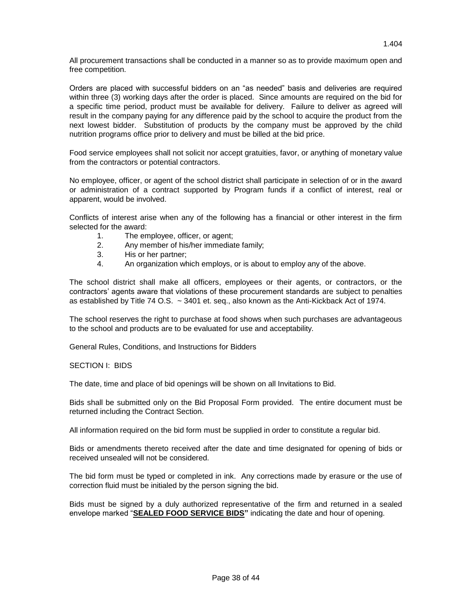All procurement transactions shall be conducted in a manner so as to provide maximum open and free competition.

Orders are placed with successful bidders on an "as needed" basis and deliveries are required within three (3) working days after the order is placed. Since amounts are required on the bid for a specific time period, product must be available for delivery. Failure to deliver as agreed will result in the company paying for any difference paid by the school to acquire the product from the next lowest bidder. Substitution of products by the company must be approved by the child nutrition programs office prior to delivery and must be billed at the bid price.

Food service employees shall not solicit nor accept gratuities, favor, or anything of monetary value from the contractors or potential contractors.

No employee, officer, or agent of the school district shall participate in selection of or in the award or administration of a contract supported by Program funds if a conflict of interest, real or apparent, would be involved.

Conflicts of interest arise when any of the following has a financial or other interest in the firm selected for the award:

- 1. The employee, officer, or agent;
- 2. Any member of his/her immediate family;
- 3. His or her partner;
- 4. An organization which employs, or is about to employ any of the above.

The school district shall make all officers, employees or their agents, or contractors, or the contractors' agents aware that violations of these procurement standards are subject to penalties as established by Title 74 O.S.  $\sim$  3401 et. seq., also known as the Anti-Kickback Act of 1974.

The school reserves the right to purchase at food shows when such purchases are advantageous to the school and products are to be evaluated for use and acceptability.

General Rules, Conditions, and Instructions for Bidders

# SECTION I: BIDS

The date, time and place of bid openings will be shown on all Invitations to Bid.

Bids shall be submitted only on the Bid Proposal Form provided. The entire document must be returned including the Contract Section.

All information required on the bid form must be supplied in order to constitute a regular bid.

Bids or amendments thereto received after the date and time designated for opening of bids or received unsealed will not be considered.

The bid form must be typed or completed in ink. Any corrections made by erasure or the use of correction fluid must be initialed by the person signing the bid.

Bids must be signed by a duly authorized representative of the firm and returned in a sealed envelope marked "**SEALED FOOD SERVICE BIDS"** indicating the date and hour of opening.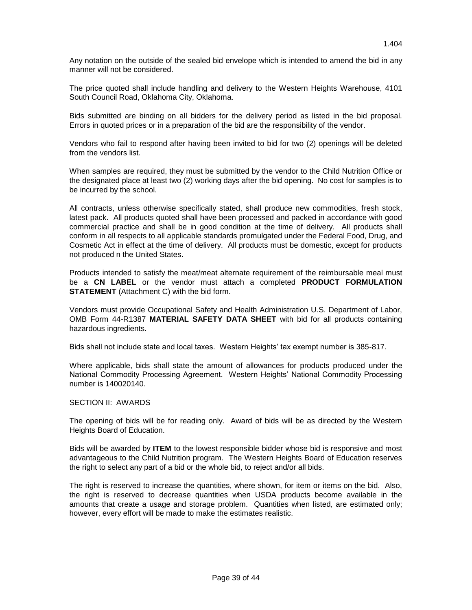Any notation on the outside of the sealed bid envelope which is intended to amend the bid in any manner will not be considered.

The price quoted shall include handling and delivery to the Western Heights Warehouse, 4101 South Council Road, Oklahoma City, Oklahoma.

Bids submitted are binding on all bidders for the delivery period as listed in the bid proposal. Errors in quoted prices or in a preparation of the bid are the responsibility of the vendor.

Vendors who fail to respond after having been invited to bid for two (2) openings will be deleted from the vendors list.

When samples are required, they must be submitted by the vendor to the Child Nutrition Office or the designated place at least two (2) working days after the bid opening. No cost for samples is to be incurred by the school.

All contracts, unless otherwise specifically stated, shall produce new commodities, fresh stock, latest pack. All products quoted shall have been processed and packed in accordance with good commercial practice and shall be in good condition at the time of delivery. All products shall conform in all respects to all applicable standards promulgated under the Federal Food, Drug, and Cosmetic Act in effect at the time of delivery. All products must be domestic, except for products not produced n the United States.

Products intended to satisfy the meat/meat alternate requirement of the reimbursable meal must be a **CN LABEL** or the vendor must attach a completed **PRODUCT FORMULATION STATEMENT** (Attachment C) with the bid form.

Vendors must provide Occupational Safety and Health Administration U.S. Department of Labor, OMB Form 44-R1387 **MATERIAL SAFETY DATA SHEET** with bid for all products containing hazardous ingredients.

Bids shall not include state and local taxes. Western Heights' tax exempt number is 385-817.

Where applicable, bids shall state the amount of allowances for products produced under the National Commodity Processing Agreement. Western Heights' National Commodity Processing number is 140020140.

# SECTION II: AWARDS

The opening of bids will be for reading only. Award of bids will be as directed by the Western Heights Board of Education.

Bids will be awarded by **ITEM** to the lowest responsible bidder whose bid is responsive and most advantageous to the Child Nutrition program. The Western Heights Board of Education reserves the right to select any part of a bid or the whole bid, to reject and/or all bids.

The right is reserved to increase the quantities, where shown, for item or items on the bid. Also, the right is reserved to decrease quantities when USDA products become available in the amounts that create a usage and storage problem. Quantities when listed, are estimated only; however, every effort will be made to make the estimates realistic.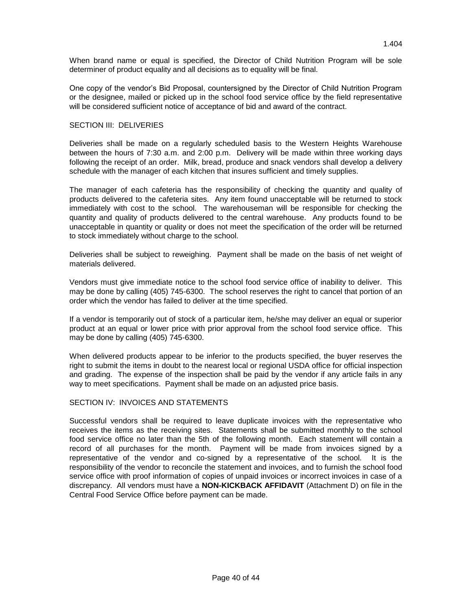When brand name or equal is specified, the Director of Child Nutrition Program will be sole determiner of product equality and all decisions as to equality will be final.

One copy of the vendor's Bid Proposal, countersigned by the Director of Child Nutrition Program or the designee, mailed or picked up in the school food service office by the field representative will be considered sufficient notice of acceptance of bid and award of the contract.

# SECTION III: DELIVERIES

Deliveries shall be made on a regularly scheduled basis to the Western Heights Warehouse between the hours of 7:30 a.m. and 2:00 p.m. Delivery will be made within three working days following the receipt of an order. Milk, bread, produce and snack vendors shall develop a delivery schedule with the manager of each kitchen that insures sufficient and timely supplies.

The manager of each cafeteria has the responsibility of checking the quantity and quality of products delivered to the cafeteria sites. Any item found unacceptable will be returned to stock immediately with cost to the school. The warehouseman will be responsible for checking the quantity and quality of products delivered to the central warehouse. Any products found to be unacceptable in quantity or quality or does not meet the specification of the order will be returned to stock immediately without charge to the school.

Deliveries shall be subject to reweighing. Payment shall be made on the basis of net weight of materials delivered.

Vendors must give immediate notice to the school food service office of inability to deliver. This may be done by calling (405) 745-6300. The school reserves the right to cancel that portion of an order which the vendor has failed to deliver at the time specified.

If a vendor is temporarily out of stock of a particular item, he/she may deliver an equal or superior product at an equal or lower price with prior approval from the school food service office. This may be done by calling (405) 745-6300.

When delivered products appear to be inferior to the products specified, the buyer reserves the right to submit the items in doubt to the nearest local or regional USDA office for official inspection and grading. The expense of the inspection shall be paid by the vendor if any article fails in any way to meet specifications. Payment shall be made on an adjusted price basis.

# SECTION IV: INVOICES AND STATEMENTS

Successful vendors shall be required to leave duplicate invoices with the representative who receives the items as the receiving sites. Statements shall be submitted monthly to the school food service office no later than the 5th of the following month. Each statement will contain a record of all purchases for the month. Payment will be made from invoices signed by a representative of the vendor and co-signed by a representative of the school. It is the responsibility of the vendor to reconcile the statement and invoices, and to furnish the school food service office with proof information of copies of unpaid invoices or incorrect invoices in case of a discrepancy. All vendors must have a **NON-KICKBACK AFFIDAVIT** (Attachment D) on file in the Central Food Service Office before payment can be made.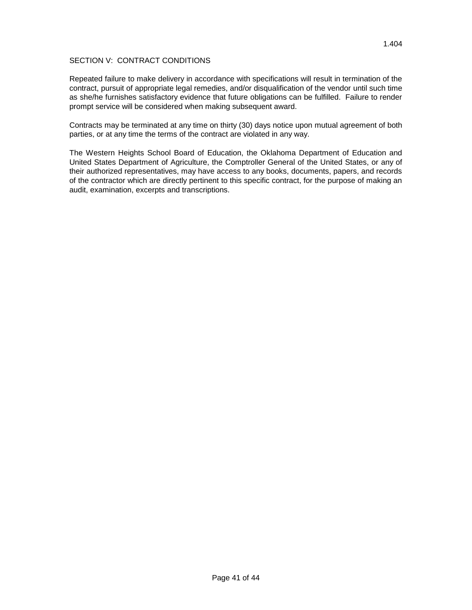# SECTION V: CONTRACT CONDITIONS

Repeated failure to make delivery in accordance with specifications will result in termination of the contract, pursuit of appropriate legal remedies, and/or disqualification of the vendor until such time as she/he furnishes satisfactory evidence that future obligations can be fulfilled. Failure to render prompt service will be considered when making subsequent award.

Contracts may be terminated at any time on thirty (30) days notice upon mutual agreement of both parties, or at any time the terms of the contract are violated in any way.

The Western Heights School Board of Education, the Oklahoma Department of Education and United States Department of Agriculture, the Comptroller General of the United States, or any of their authorized representatives, may have access to any books, documents, papers, and records of the contractor which are directly pertinent to this specific contract, for the purpose of making an audit, examination, excerpts and transcriptions.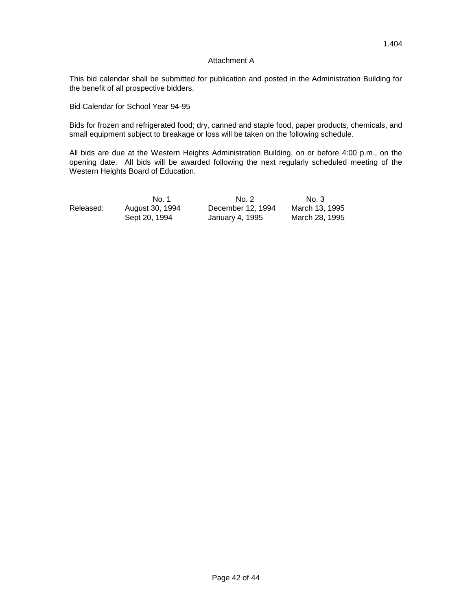#### Attachment A

This bid calendar shall be submitted for publication and posted in the Administration Building for the benefit of all prospective bidders.

Bid Calendar for School Year 94-95

Bids for frozen and refrigerated food; dry, canned and staple food, paper products, chemicals, and small equipment subject to breakage or loss will be taken on the following schedule.

All bids are due at the Western Heights Administration Building, on or before 4:00 p.m., on the opening date. All bids will be awarded following the next regularly scheduled meeting of the Western Heights Board of Education.

|           | No. 1           | No. 2             | No. 3          |
|-----------|-----------------|-------------------|----------------|
| Released: | August 30, 1994 | December 12, 1994 | March 13, 1995 |
|           | Sept 20, 1994   | January 4, 1995   | March 28. 1995 |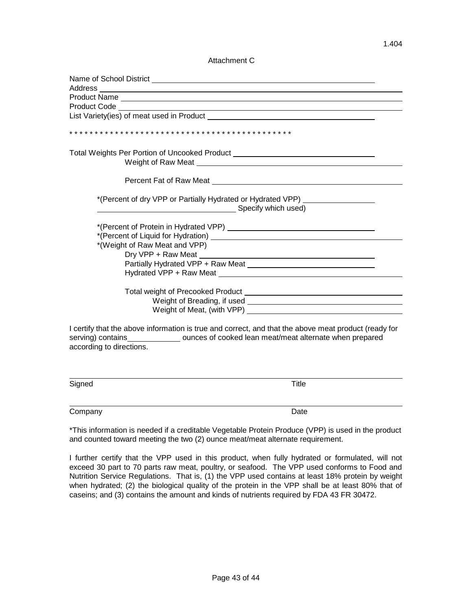Attachment C

| <b>Product Code Example 2014</b>                                                                                                 |  |
|----------------------------------------------------------------------------------------------------------------------------------|--|
|                                                                                                                                  |  |
|                                                                                                                                  |  |
| Total Weights Per Portion of Uncooked Product __________________________________                                                 |  |
|                                                                                                                                  |  |
| Percent Fat of Raw Meat <b>Figure 2018</b> Percent Fat of Raw Meat                                                               |  |
| *(Percent of dry VPP or Partially Hydrated or Hydrated VPP)<br>Specify which used)                                               |  |
|                                                                                                                                  |  |
| *(Weight of Raw Meat and VPP)                                                                                                    |  |
| Dry VPP + Raw Meat<br><u> 1989 - Johann Barbara, martxa alemaniar amerikan a</u>                                                 |  |
| Partially Hydrated VPP + Raw Meat                                                                                                |  |
|                                                                                                                                  |  |
|                                                                                                                                  |  |
|                                                                                                                                  |  |
| Weight of Meat, (with VPP) Weight of Meat, (with VPP)                                                                            |  |
| I certify that the above information is true and correct, and that the above meat product (ready for<br>according to directions. |  |
| Signed<br>Title                                                                                                                  |  |

Company Date **Date** 

\*This information is needed if a creditable Vegetable Protein Produce (VPP) is used in the product and counted toward meeting the two (2) ounce meat/meat alternate requirement.

I further certify that the VPP used in this product, when fully hydrated or formulated, will not exceed 30 part to 70 parts raw meat, poultry, or seafood. The VPP used conforms to Food and Nutrition Service Regulations. That is, (1) the VPP used contains at least 18% protein by weight when hydrated; (2) the biological quality of the protein in the VPP shall be at least 80% that of caseins; and (3) contains the amount and kinds of nutrients required by FDA 43 FR 30472.